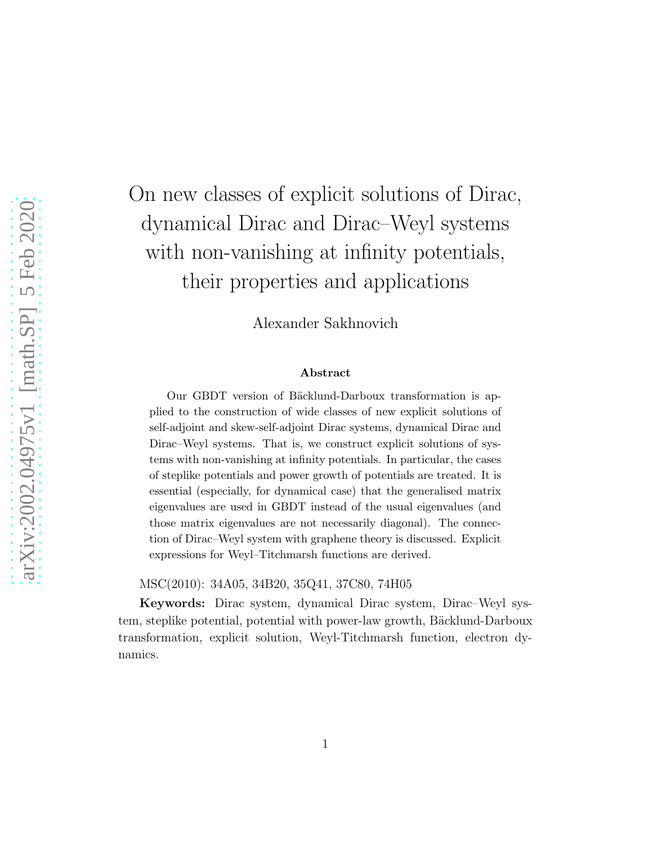# On new classes of explicit solutions of Dirac, dynamical Dirac and Dirac–Weyl systems with non-vanishing at infinity potentials, their properties and applications

Alexander Sakhnovich

#### Abstract

Our GBDT version of Bäcklund-Darboux transformation is applied to the construction of wide classes of new explicit solutions of self-adjoint and skew-self-adjoint Dirac systems, dynamical Dirac and Dirac–Weyl systems. That is, we construct explicit solutions of systems with non-vanishing at infinity potentials. In particular, the cases of steplike potentials and power growth of potentials are treated. It is essential (especially, for dynamical case) that the generalised matrix eigenvalues are used in GBDT instead of the usual eigenvalues (and those matrix eigenvalues are not necessarily diagonal). The connection of Dirac–Weyl system with graphene theory is discussed. Explicit expressions for Weyl–Titchmarsh functions are derived.

MSC(2010): 34A05, 34B20, 35Q41, 37C80, 74H05

Keywords: Dirac system, dynamical Dirac system, Dirac–Weyl system, steplike potential, potential with power-law growth, Bäcklund-Darboux transformation, explicit solution, Weyl-Titchmarsh function, electron dynamics.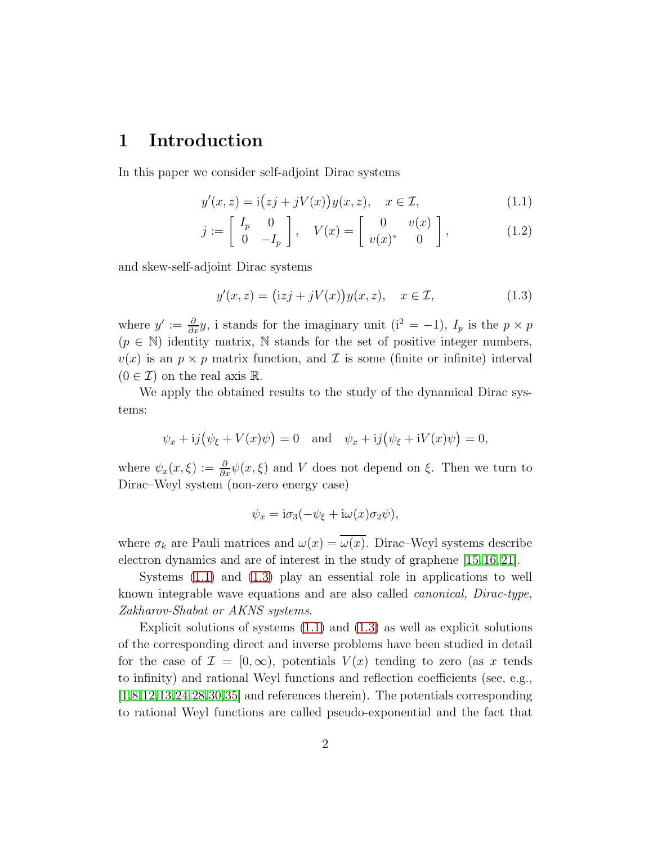### 1 Introduction

In this paper we consider self-adjoint Dirac systems

<span id="page-1-0"></span>
$$
y'(x, z) = \mathbf{i}(zj + jV(x))y(x, z), \quad x \in \mathcal{I}, \tag{1.1}
$$

$$
j := \begin{bmatrix} I_p & 0 \\ 0 & -I_p \end{bmatrix}, \quad V(x) = \begin{bmatrix} 0 & v(x) \\ v(x)^* & 0 \end{bmatrix}, \quad (1.2)
$$

and skew-self-adjoint Dirac systems

<span id="page-1-2"></span><span id="page-1-1"></span>
$$
y'(x, z) = (izj + jV(x))y(x, z), \quad x \in \mathcal{I}, \tag{1.3}
$$

where  $y' := \frac{\partial}{\partial x} y$ , i stands for the imaginary unit  $(i^2 = -1)$ ,  $I_p$  is the  $p \times p$  $(p \in \mathbb{N})$  identity matrix,  $\mathbb N$  stands for the set of positive integer numbers,  $v(x)$  is an  $p \times p$  matrix function, and  $\mathcal I$  is some (finite or infinite) interval  $(0 \in \mathcal{I})$  on the real axis R.

We apply the obtained results to the study of the dynamical Dirac systems:

$$
\psi_x + i j(\psi_{\xi} + V(x)\psi) = 0
$$
 and  $\psi_x + i j(\psi_{\xi} + iV(x)\psi) = 0$ ,

where  $\psi_x(x,\xi) := \frac{\partial}{\partial x}\psi(x,\xi)$  and V does not depend on  $\xi$ . Then we turn to Dirac–Weyl system (non-zero energy case)

$$
\psi_x = \mathrm{i}\sigma_3(-\psi_{\xi} + \mathrm{i}\omega(x)\sigma_2\psi),
$$

where  $\sigma_k$  are Pauli matrices and  $\omega(x) = \overline{\omega(x)}$ . Dirac–Weyl systems describe electron dynamics and are of interest in the study of graphene [\[15,](#page-23-0) [16,](#page-23-1) [21\]](#page-24-0).

Systems [\(1.1\)](#page-1-0) and [\(1.3\)](#page-1-1) play an essential role in applications to well known integrable wave equations and are also called canonical, Dirac-type, Zakharov-Shabat or AKNS systems.

Explicit solutions of systems  $(1.1)$  and  $(1.3)$  as well as explicit solutions of the corresponding direct and inverse problems have been studied in detail for the case of  $\mathcal{I} = [0, \infty)$ , potentials  $V(x)$  tending to zero (as x tends to infinity) and rational Weyl functions and reflection coefficients (see, e.g., [\[1,](#page-22-0)[8,](#page-23-2)[12,](#page-23-3)[13,](#page-23-4)[24](#page-24-1)[,28,](#page-24-2)[30](#page-25-0)[,35\]](#page-25-1) and references therein). The potentials corresponding to rational Weyl functions are called pseudo-exponential and the fact that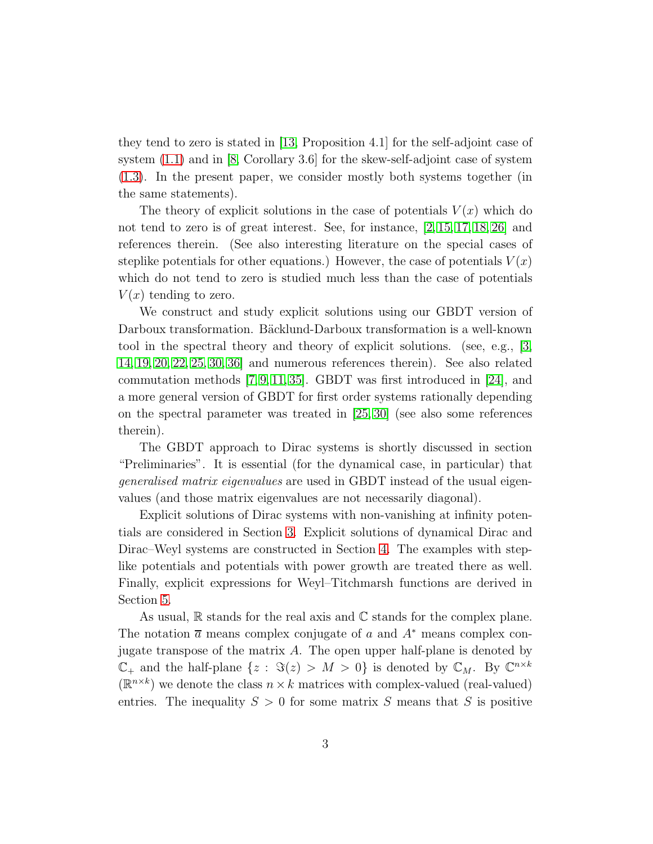they tend to zero is stated in [\[13,](#page-23-4) Proposition 4.1] for the self-adjoint case of system [\(1.1\)](#page-1-0) and in [\[8,](#page-23-2) Corollary 3.6] for the skew-self-adjoint case of system [\(1.3\)](#page-1-1). In the present paper, we consider mostly both systems together (in the same statements).

The theory of explicit solutions in the case of potentials  $V(x)$  which do not tend to zero is of great interest. See, for instance, [\[2,](#page-22-1) [15,](#page-23-0) [17,](#page-23-5) [18,](#page-23-6) [26\]](#page-24-3) and references therein. (See also interesting literature on the special cases of steplike potentials for other equations.) However, the case of potentials  $V(x)$ which do not tend to zero is studied much less than the case of potentials  $V(x)$  tending to zero.

We construct and study explicit solutions using our GBDT version of Darboux transformation. Bäcklund-Darboux transformation is a well-known tool in the spectral theory and theory of explicit solutions. (see, e.g., [\[3,](#page-22-2) [14,](#page-23-7) [19,](#page-24-4) [20,](#page-24-5) [22,](#page-24-6) [25,](#page-24-7) [30,](#page-25-0) [36\]](#page-25-2) and numerous references therein). See also related commutation methods [\[7,](#page-22-3) [9,](#page-23-8) [11,](#page-23-9) [35\]](#page-25-1). GBDT was first introduced in [\[24\]](#page-24-1), and a more general version of GBDT for first order systems rationally depending on the spectral parameter was treated in [\[25,](#page-24-7) [30\]](#page-25-0) (see also some references therein).

The GBDT approach to Dirac systems is shortly discussed in section "Preliminaries". It is essential (for the dynamical case, in particular) that generalised matrix eigenvalues are used in GBDT instead of the usual eigenvalues (and those matrix eigenvalues are not necessarily diagonal).

Explicit solutions of Dirac systems with non-vanishing at infinity potentials are considered in Section [3.](#page-6-0) Explicit solutions of dynamical Dirac and Dirac–Weyl systems are constructed in Section [4.](#page-11-0) The examples with steplike potentials and potentials with power growth are treated there as well. Finally, explicit expressions for Weyl–Titchmarsh functions are derived in Section [5.](#page-16-0)

As usual,  $\mathbb R$  stands for the real axis and  $\mathbb C$  stands for the complex plane. The notation  $\bar{a}$  means complex conjugate of a and  $A^*$  means complex conjugate transpose of the matrix  $A$ . The open upper half-plane is denoted by  $\mathbb{C}_+$  and the half-plane  $\{z: \Im(z) > M > 0\}$  is denoted by  $\mathbb{C}_M$ . By  $\mathbb{C}^{n \times k}$  $(\mathbb{R}^{n\times k})$  we denote the class  $n\times k$  matrices with complex-valued (real-valued) entries. The inequality  $S > 0$  for some matrix S means that S is positive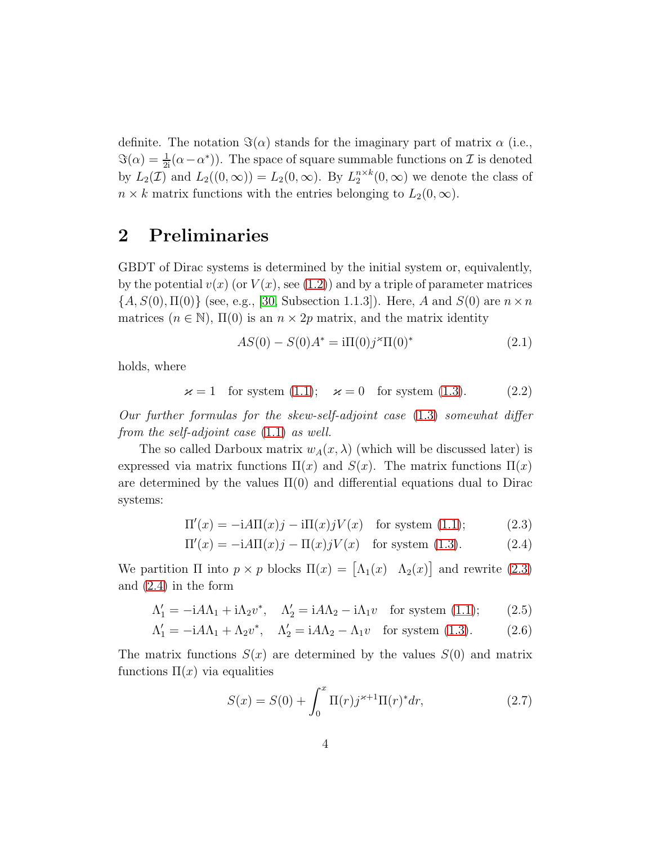definite. The notation  $\Im(\alpha)$  stands for the imaginary part of matrix  $\alpha$  (i.e.,  $\Im(\alpha) = \frac{1}{2i}(\alpha - \alpha^*)$ . The space of square summable functions on  $\mathcal I$  is denoted by  $L_2(\mathcal{I})$  and  $L_2((0,\infty)) = L_2(0,\infty)$ . By  $L_2^{n \times k}(0,\infty)$  we denote the class of  $n \times k$  matrix functions with the entries belonging to  $L_2(0, \infty)$ .

### 2 Preliminaries

GBDT of Dirac systems is determined by the initial system or, equivalently, by the potential  $v(x)$  (or  $V(x)$ , see [\(1.2\)](#page-1-2)) and by a triple of parameter matrices  ${A, S(0), \Pi(0)}$  (see, e.g., [\[30,](#page-25-0) Subsection 1.1.3]). Here, A and  $S(0)$  are  $n \times n$ matrices  $(n \in \mathbb{N})$ ,  $\Pi(0)$  is an  $n \times 2p$  matrix, and the matrix identity

<span id="page-3-3"></span><span id="page-3-0"></span>
$$
AS(0) - S(0)A^* = i\Pi(0)j^*\Pi(0)^*
$$
\n(2.1)

holds, where

<span id="page-3-2"></span>
$$
\varkappa = 1 \quad \text{for system (1.1);} \quad \varkappa = 0 \quad \text{for system (1.3).} \tag{2.2}
$$

Our further formulas for the skew-self-adjoint case [\(1.3\)](#page-1-1) somewhat differ from the self-adjoint case [\(1.1\)](#page-1-0) as well.

The so called Darboux matrix  $w_A(x, \lambda)$  (which will be discussed later) is expressed via matrix functions  $\Pi(x)$  and  $S(x)$ . The matrix functions  $\Pi(x)$ are determined by the values  $\Pi(0)$  and differential equations dual to Dirac systems:

$$
\Pi'(x) = -iA\Pi(x)j - i\Pi(x)jV(x) \quad \text{for system (1.1)};
$$
 (2.3)

$$
\Pi'(x) = -iA\Pi(x)j - \Pi(x)jV(x) \quad \text{for system (1.3).} \tag{2.4}
$$

We partition  $\Pi$  into  $p \times p$  blocks  $\Pi(x) = [\Lambda_1(x) \Lambda_2(x)]$  and rewrite [\(2.3\)](#page-3-0) and [\(2.4\)](#page-3-1) in the form

$$
\Lambda_1' = -iA\Lambda_1 + i\Lambda_2 v^*, \quad \Lambda_2' = iA\Lambda_2 - i\Lambda_1 v \quad \text{for system (1.1)};
$$
 (2.5)

$$
\Lambda_1' = -iA\Lambda_1 + \Lambda_2 v^*, \quad \Lambda_2' = iA\Lambda_2 - \Lambda_1 v \quad \text{for system (1.3).} \tag{2.6}
$$

The matrix functions  $S(x)$  are determined by the values  $S(0)$  and matrix functions  $\Pi(x)$  via equalities

<span id="page-3-6"></span><span id="page-3-5"></span><span id="page-3-4"></span><span id="page-3-1"></span>
$$
S(x) = S(0) + \int_0^x \Pi(r) j^{\varkappa + 1} \Pi(r)^* dr,
$$
 (2.7)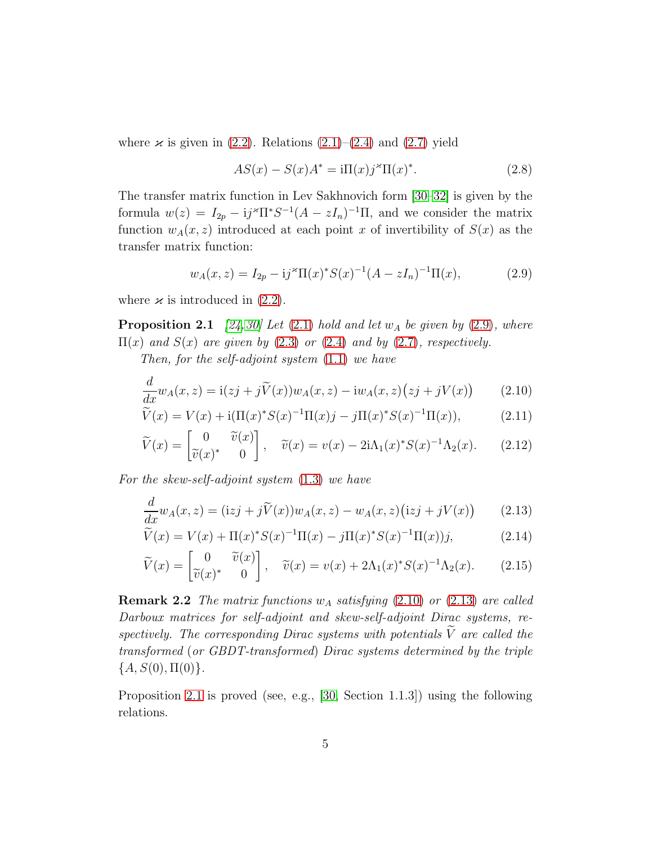where  $\varkappa$  is given in [\(2.2\)](#page-3-2). Relations [\(2.1\)](#page-3-3)–[\(2.4\)](#page-3-1) and [\(2.7\)](#page-3-4) yield

<span id="page-4-6"></span><span id="page-4-0"></span>
$$
AS(x) - S(x)A^* = i\Pi(x)j^*\Pi(x)^*.
$$
 (2.8)

The transfer matrix function in Lev Sakhnovich form [\[30–](#page-25-0)[32\]](#page-25-3) is given by the formula  $w(z) = I_{2p} - i j^* \Pi^* S^{-1} (A - zI_n)^{-1} \Pi$ , and we consider the matrix function  $w_A(x, z)$  introduced at each point x of invertibility of  $S(x)$  as the transfer matrix function:

<span id="page-4-7"></span><span id="page-4-4"></span><span id="page-4-3"></span><span id="page-4-1"></span>
$$
w_A(x, z) = I_{2p} - i j^{\ast} \Pi(x)^{\ast} S(x)^{-1} (A - zI_n)^{-1} \Pi(x), \qquad (2.9)
$$

where  $\varkappa$  is introduced in [\(2.2\)](#page-3-2).

**Proposition 2.1** [\[24,](#page-24-1)[30\]](#page-25-0) Let  $(2.1)$  hold and let  $w_A$  be given by  $(2.9)$ , where  $\Pi(x)$  and  $S(x)$  are given by [\(2.3\)](#page-3-0) or [\(2.4\)](#page-3-1) and by [\(2.7\)](#page-3-4), respectively.

Then, for the self-adjoint system [\(1.1\)](#page-1-0) we have

$$
\frac{d}{dx}w_A(x,z) = \mathrm{i}(zj + j\widetilde{V}(x))w_A(x,z) - \mathrm{i}w_A(x,z)\big(zj + jV(x)\big) \tag{2.10}
$$

$$
\widetilde{V}(x) = V(x) + i(\Pi(x)^* S(x)^{-1} \Pi(x) j - j\Pi(x)^* S(x)^{-1} \Pi(x)),\tag{2.11}
$$

$$
\widetilde{V}(x) = \begin{bmatrix} 0 & \widetilde{v}(x) \\ \widetilde{v}(x)^* & 0 \end{bmatrix}, \quad \widetilde{v}(x) = v(x) - 2i\Lambda_1(x)^* S(x)^{-1}\Lambda_2(x). \tag{2.12}
$$

For the skew-self-adjoint system [\(1.3\)](#page-1-1) we have

<span id="page-4-2"></span>
$$
\frac{d}{dx}w_A(x,z) = (\mathrm{i}zj + j\widetilde{V}(x))w_A(x,z) - w_A(x,z)(\mathrm{i}zj + jV(x))\tag{2.13}
$$

<span id="page-4-5"></span>
$$
\widetilde{V}(x) = V(x) + \Pi(x)^* S(x)^{-1} \Pi(x) - j \Pi(x)^* S(x)^{-1} \Pi(x) j,\tag{2.14}
$$

<span id="page-4-8"></span>
$$
\widetilde{V}(x) = \begin{bmatrix} 0 & \widetilde{v}(x) \\ \widetilde{v}(x)^* & 0 \end{bmatrix}, \quad \widetilde{v}(x) = v(x) + 2\Lambda_1(x)^* S(x)^{-1} \Lambda_2(x). \tag{2.15}
$$

**Remark 2.2** The matrix functions  $w_A$  satisfying [\(2.10\)](#page-4-1) or [\(2.13\)](#page-4-2) are called Darboux matrices for self-adjoint and skew-self-adjoint Dirac systems, respectively. The corresponding Dirac systems with potentials  $\widetilde{V}$  are called the transformed (or GBDT-transformed) Dirac systems determined by the triple  ${A, S(0), \Pi(0)}.$ 

<span id="page-4-9"></span>Proposition [2.1](#page-4-3) is proved (see, e.g., [\[30,](#page-25-0) Section 1.1.3]) using the following relations.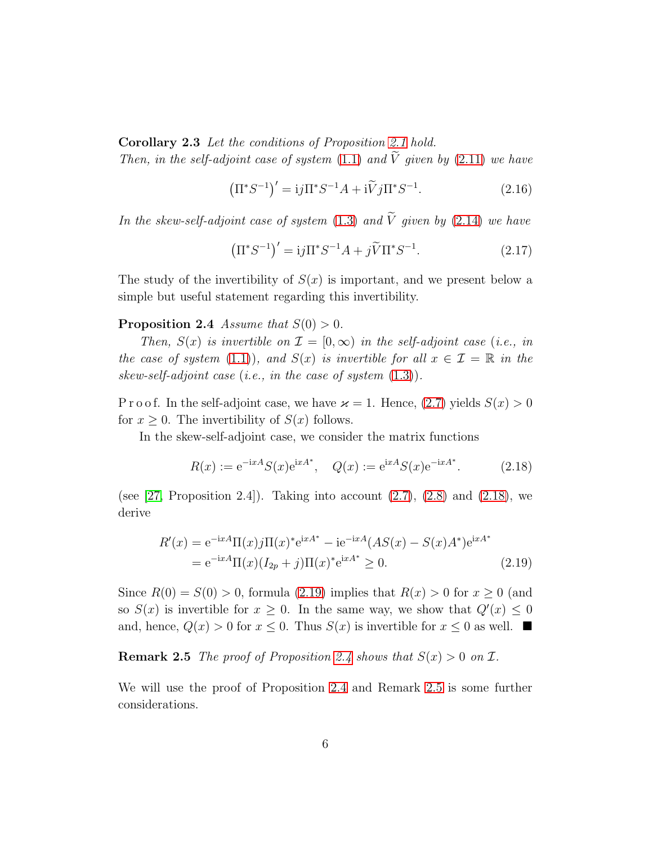Corollary 2.3 Let the conditions of Proposition [2.1](#page-4-3) hold. Then, in the self-adjoint case of system [\(1.1\)](#page-1-0) and  $\widetilde{V}$  given by [\(2.11\)](#page-4-4) we have

<span id="page-5-4"></span>
$$
\left(\Pi^* S^{-1}\right)' = i j \Pi^* S^{-1} A + i \widetilde{V} j \Pi^* S^{-1}.
$$
 (2.16)

In the skew-self-adjoint case of system [\(1.3\)](#page-1-1) and  $\widetilde{V}$  given by [\(2.14\)](#page-4-5) we have

<span id="page-5-5"></span><span id="page-5-2"></span>
$$
\left(\Pi^* S^{-1}\right)' = i j \Pi^* S^{-1} A + j \widetilde{V} \Pi^* S^{-1}.
$$
 (2.17)

The study of the invertibility of  $S(x)$  is important, and we present below a simple but useful statement regarding this invertibility.

#### **Proposition 2.4** Assume that  $S(0) > 0$ .

Then,  $S(x)$  is invertible on  $\mathcal{I} = [0, \infty)$  in the self-adjoint case (i.e., in the case of system [\(1.1\)](#page-1-0)), and  $S(x)$  is invertible for all  $x \in \mathcal{I} = \mathbb{R}$  in the skew-self-adjoint case (i.e., in the case of system [\(1.3\)](#page-1-1)).

P r o o f. In the self-adjoint case, we have  $\varkappa = 1$ . Hence,  $(2.7)$  yields  $S(x) > 0$ for  $x \geq 0$ . The invertibility of  $S(x)$  follows.

In the skew-self-adjoint case, we consider the matrix functions

<span id="page-5-1"></span><span id="page-5-0"></span>
$$
R(x) := e^{-ixA} S(x) e^{ixA^*}, \quad Q(x) := e^{ixA} S(x) e^{-ixA^*}.
$$
 (2.18)

(see [\[27,](#page-24-8) Proposition 2.4]). Taking into account  $(2.7)$ ,  $(2.8)$  and  $(2.18)$ , we derive

$$
R'(x) = e^{-ixA} \Pi(x) j \Pi(x)^* e^{ixA^*} - i e^{-ixA} (AS(x) - S(x)A^*) e^{ixA^*}
$$
  
= 
$$
e^{-ixA} \Pi(x) (I_{2p} + j) \Pi(x)^* e^{ixA^*} \ge 0.
$$
 (2.19)

Since  $R(0) = S(0) > 0$ , formula [\(2.19\)](#page-5-1) implies that  $R(x) > 0$  for  $x > 0$  (and so  $S(x)$  is invertible for  $x \ge 0$ . In the same way, we show that  $Q'(x) \le 0$ and, hence,  $Q(x) > 0$  for  $x \leq 0$ . Thus  $S(x)$  is invertible for  $x \leq 0$  as well.

<span id="page-5-3"></span>**Remark 2.5** The proof of Proposition [2.4](#page-5-2) shows that  $S(x) > 0$  on  $\mathcal{I}$ .

We will use the proof of Proposition [2.4](#page-5-2) and Remark [2.5](#page-5-3) is some further considerations.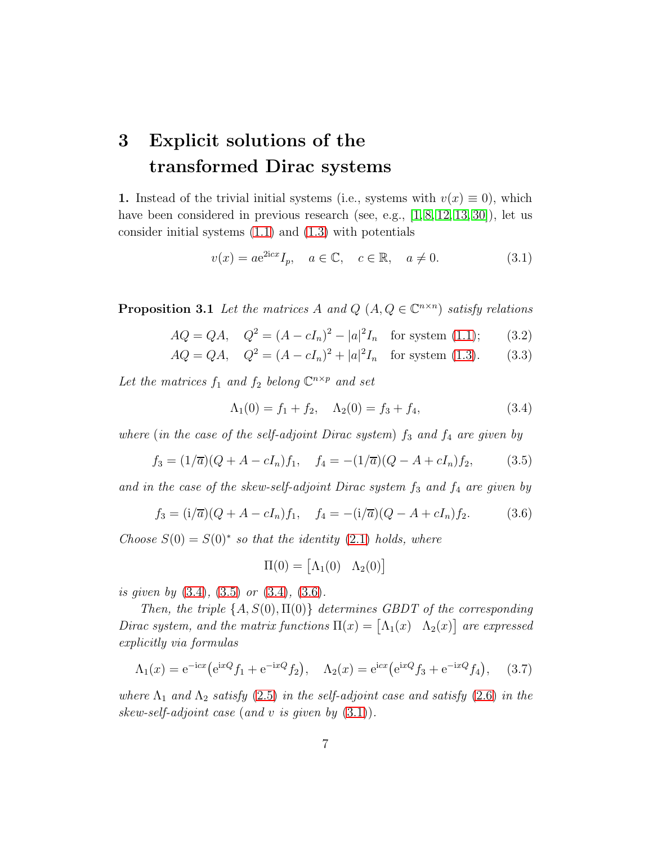## <span id="page-6-0"></span>3 Explicit solutions of the transformed Dirac systems

1. Instead of the trivial initial systems (i.e., systems with  $v(x) \equiv 0$ ), which have been considered in previous research (see, e.g.,  $[1, 8, 12, 13, 30]$  $[1, 8, 12, 13, 30]$  $[1, 8, 12, 13, 30]$  $[1, 8, 12, 13, 30]$  $[1, 8, 12, 13, 30]$ ), let us consider initial systems [\(1.1\)](#page-1-0) and [\(1.3\)](#page-1-1) with potentials

<span id="page-6-4"></span>
$$
v(x) = a e^{2icx} I_p, \quad a \in \mathbb{C}, \quad c \in \mathbb{R}, \quad a \neq 0.
$$
 (3.1)

<span id="page-6-8"></span>**Proposition 3.1** Let the matrices A and  $Q$   $(A, Q \in \mathbb{C}^{n \times n})$  satisfy relations

$$
AQ = QA, \quad Q^2 = (A - cI_n)^2 - |a|^2 I_n \quad \text{for system (1.1)};
$$
 (3.2)

$$
AQ = QA, \quad Q^2 = (A - cI_n)^2 + |a|^2 I_n \quad \text{for system (1.3).} \tag{3.3}
$$

Let the matrices  $f_1$  and  $f_2$  belong  $\mathbb{C}^{n \times p}$  and set

<span id="page-6-7"></span><span id="page-6-6"></span><span id="page-6-1"></span>
$$
\Lambda_1(0) = f_1 + f_2, \quad \Lambda_2(0) = f_3 + f_4,\tag{3.4}
$$

where (in the case of the self-adjoint Dirac system)  $f_3$  and  $f_4$  are given by

$$
f_3 = (1/\overline{a})(Q + A - cI_n)f_1, \quad f_4 = -(1/\overline{a})(Q - A + cI_n)f_2,\tag{3.5}
$$

and in the case of the skew-self-adjoint Dirac system  $f_3$  and  $f_4$  are given by

$$
f_3 = (i/\overline{a})(Q + A - cI_n)f_1, \quad f_4 = -(i/\overline{a})(Q - A + cI_n)f_2.
$$
 (3.6)

Choose  $S(0) = S(0)^*$  so that the identity [\(2.1\)](#page-3-3) holds, where

<span id="page-6-5"></span><span id="page-6-3"></span><span id="page-6-2"></span>
$$
\Pi(0) = \begin{bmatrix} \Lambda_1(0) & \Lambda_2(0) \end{bmatrix}
$$

is given by [\(3.4\)](#page-6-1), [\(3.5\)](#page-6-2) or [\(3.4\)](#page-6-1), [\(3.6\)](#page-6-3).

Then, the triple  $\{A, S(0), \Pi(0)\}\$  determines GBDT of the corresponding Dirac system, and the matrix functions  $\Pi(x) = [\Lambda_1(x) \quad \Lambda_2(x)]$  are expressed explicitly via formulas

$$
\Lambda_1(x) = e^{-icx} \left( e^{ixQ} f_1 + e^{-ixQ} f_2 \right), \quad \Lambda_2(x) = e^{icx} \left( e^{ixQ} f_3 + e^{-ixQ} f_4 \right), \quad (3.7)
$$

where  $\Lambda_1$  and  $\Lambda_2$  satisfy [\(2.5\)](#page-3-5) in the self-adjoint case and satisfy [\(2.6\)](#page-3-6) in the skew-self-adjoint case (and v is given by  $(3.1)$ ).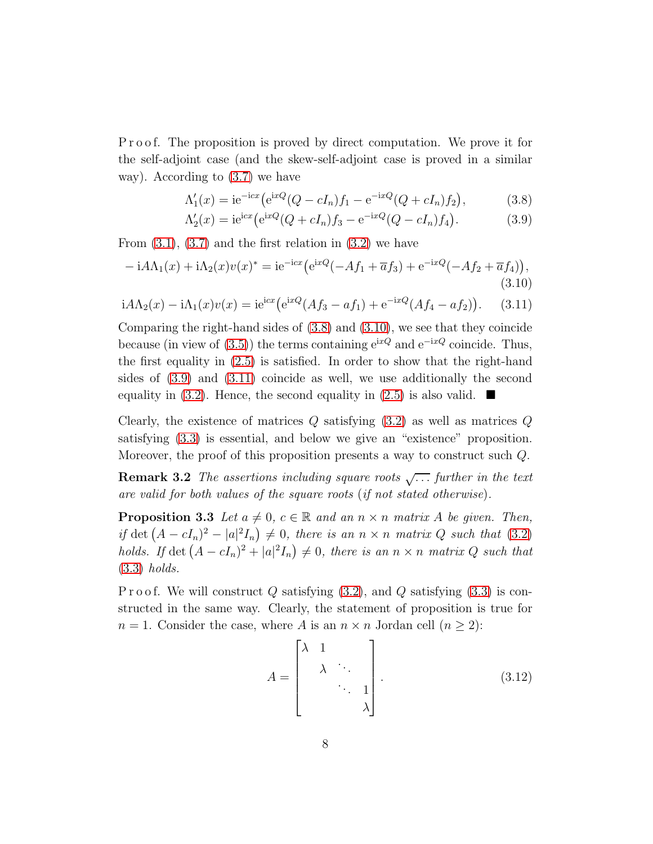P r o o f. The proposition is proved by direct computation. We prove it for the self-adjoint case (and the skew-self-adjoint case is proved in a similar way). According to [\(3.7\)](#page-6-5) we have

$$
\Lambda_1'(x) = i e^{-i c x} \left( e^{i x Q} (Q - c I_n) f_1 - e^{-i x Q} (Q + c I_n) f_2 \right),
$$
\n(3.8)

<span id="page-7-3"></span><span id="page-7-2"></span><span id="page-7-1"></span><span id="page-7-0"></span>
$$
\Lambda_2'(x) = i e^{icx} \left( e^{ixQ} (Q + cI_n) f_3 - e^{-ixQ} (Q - cI_n) f_4 \right).
$$
 (3.9)

From  $(3.1)$ ,  $(3.7)$  and the first relation in  $(3.2)$  we have

$$
-iA\Lambda_1(x) + i\Lambda_2(x)v(x)^* = ie^{-icx}(e^{ixQ}(-Af_1 + \overline{a}f_3) + e^{-ixQ}(-Af_2 + \overline{a}f_4)),
$$
\n(3.10)

$$
i A \Lambda_2(x) - i \Lambda_1(x) v(x) = i e^{i c x} (e^{i x Q} (A f_3 - a f_1) + e^{-i x Q} (A f_4 - a f_2)). \tag{3.11}
$$

Comparing the right-hand sides of [\(3.8\)](#page-7-0) and [\(3.10\)](#page-7-1), we see that they coincide because (in view of [\(3.5\)](#page-6-2)) the terms containing  $e^{ixQ}$  and  $e^{-ixQ}$  coincide. Thus, the first equality in [\(2.5\)](#page-3-5) is satisfied. In order to show that the right-hand sides of [\(3.9\)](#page-7-2) and [\(3.11\)](#page-7-3) coincide as well, we use additionally the second equality in [\(3.2\)](#page-6-6). Hence, the second equality in [\(2.5\)](#page-3-5) is also valid.  $\blacksquare$ 

Clearly, the existence of matrices  $Q$  satisfying  $(3.2)$  as well as matrices  $Q$ satisfying [\(3.3\)](#page-6-7) is essential, and below we give an "existence" proposition. Moreover, the proof of this proposition presents a way to construct such  $Q$ .

**Remark 3.2** The assertions including square roots  $\sqrt{\ldots}$  further in the text are valid for both values of the square roots (if not stated otherwise).

<span id="page-7-5"></span>**Proposition 3.3** Let  $a \neq 0$ ,  $c \in \mathbb{R}$  and an  $n \times n$  matrix A be given. Then, if det  $(A - cI_n)^2 - |a|^2I_n \geq 0$ , there is an  $n \times n$  matrix Q such that [\(3.2\)](#page-6-6) holds. If  $\det (A - cI_n)^2 + |a|^2 I_n \neq 0$ , there is an  $n \times n$  matrix Q such that [\(3.3\)](#page-6-7) holds.

P r o o f. We will construct  $Q$  satisfying  $(3.2)$ , and  $Q$  satisfying  $(3.3)$  is constructed in the same way. Clearly, the statement of proposition is true for  $n = 1$ . Consider the case, where A is an  $n \times n$  Jordan cell  $(n \geq 2)$ :

<span id="page-7-4"></span>
$$
A = \begin{bmatrix} \lambda & 1 & & \\ & \lambda & \ddots & \\ & & \ddots & 1 \\ & & & \lambda \end{bmatrix} .
$$
 (3.12)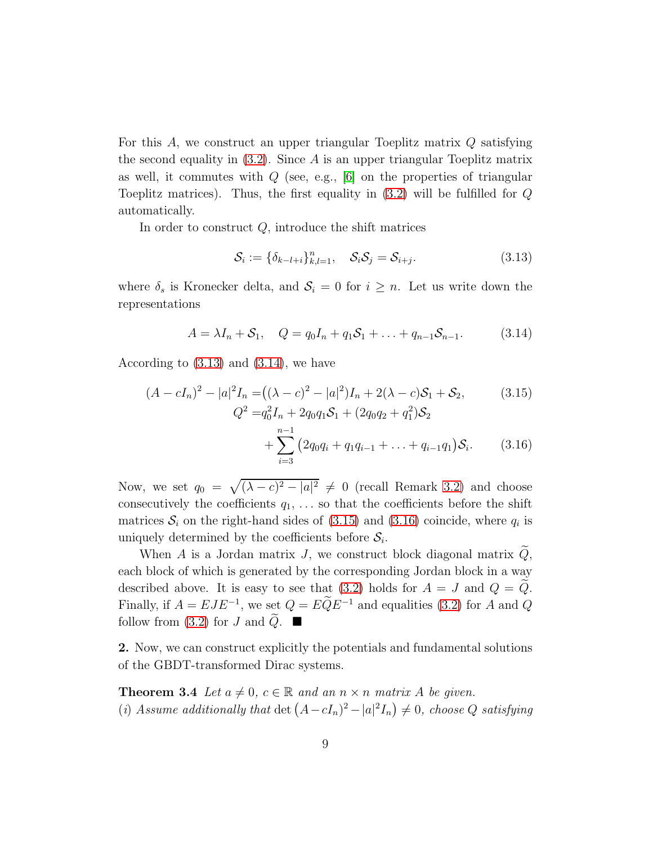For this A, we construct an upper triangular Toeplitz matrix Q satisfying the second equality in  $(3.2)$ . Since A is an upper triangular Toeplitz matrix as well, it commutes with  $Q$  (see, e.g., [\[6\]](#page-22-4) on the properties of triangular Toeplitz matrices). Thus, the first equality in  $(3.2)$  will be fulfilled for  $Q$ automatically.

In order to construct  $Q$ , introduce the shift matrices

<span id="page-8-3"></span><span id="page-8-2"></span><span id="page-8-1"></span><span id="page-8-0"></span>
$$
\mathcal{S}_i := \{ \delta_{k-l+i} \}_{k,l=1}^n, \quad \mathcal{S}_i \mathcal{S}_j = \mathcal{S}_{i+j}.
$$
\n(3.13)

where  $\delta_s$  is Kronecker delta, and  $\mathcal{S}_i = 0$  for  $i \geq n$ . Let us write down the representations

$$
A = \lambda I_n + S_1, \quad Q = q_0 I_n + q_1 S_1 + \ldots + q_{n-1} S_{n-1}.
$$
 (3.14)

According to  $(3.13)$  and  $(3.14)$ , we have

$$
(A - cI_n)^2 - |a|^2 I_n = ((\lambda - c)^2 - |a|^2)I_n + 2(\lambda - c)S_1 + S_2,
$$
(3.15)  
\n
$$
Q^2 = q_0^2 I_n + 2q_0 q_1 S_1 + (2q_0 q_2 + q_1^2)S_2
$$
  
\n
$$
+ \sum_{i=3}^{n-1} (2q_0 q_i + q_1 q_{i-1} + \dots + q_{i-1} q_1)S_i.
$$
(3.16)

Now, we set  $q_0 = \sqrt{(\lambda - c)^2 - |a|^2} \neq 0$  (recall Remark [3.2\)](#page-7-4) and choose consecutively the coefficients  $q_1, \ldots$  so that the coefficients before the shift matrices  $S_i$  on the right-hand sides of  $(3.15)$  and  $(3.16)$  coincide, where  $q_i$  is uniquely determined by the coefficients before  $S_i$ .

When A is a Jordan matrix J, we construct block diagonal matrix  $Q$ , each block of which is generated by the corresponding Jordan block in a way described above. It is easy to see that [\(3.2\)](#page-6-6) holds for  $A = J$  and  $Q = \tilde{Q}$ . Finally, if  $A = EJE^{-1}$ , we set  $Q = EQE^{-1}$  and equalities [\(3.2\)](#page-6-6) for A and Q follow from [\(3.2\)](#page-6-6) for J and  $\tilde{Q}$ .

<span id="page-8-4"></span>2. Now, we can construct explicitly the potentials and fundamental solutions of the GBDT-transformed Dirac systems.

**Theorem 3.4** Let  $a \neq 0$ ,  $c \in \mathbb{R}$  and an  $n \times n$  matrix A be given. (i) Assume additionally that  $\det (A - cI_n)^2 - |a|^2 I_n$   $\neq 0$ , choose Q satisfying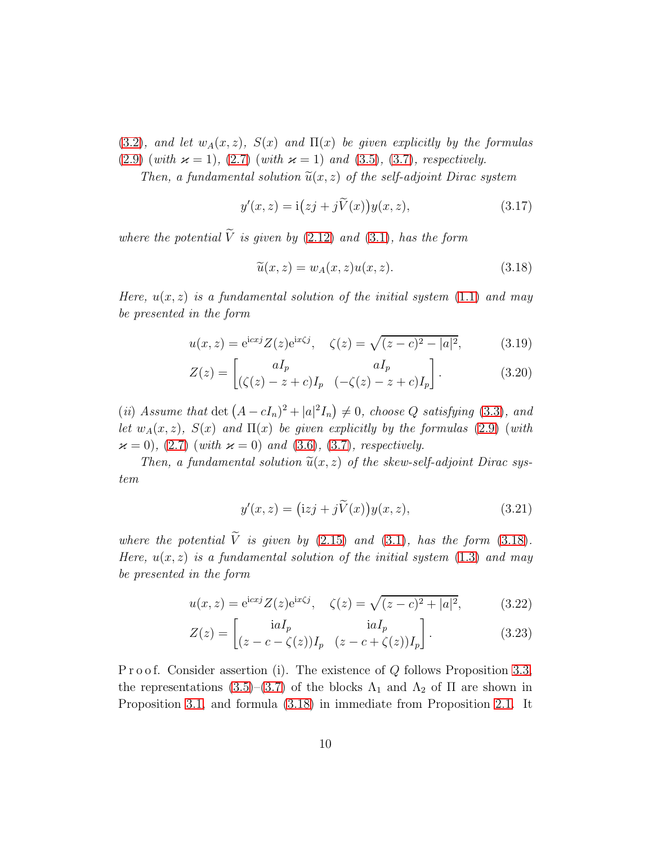[\(3.2\)](#page-6-6), and let  $w_A(x, z)$ ,  $S(x)$  and  $\Pi(x)$  be given explicitly by the formulas [\(2.9\)](#page-4-0) (with  $\varkappa = 1$ ), [\(2.7\)](#page-3-4) (with  $\varkappa = 1$ ) and [\(3.5\)](#page-6-2), [\(3.7\)](#page-6-5), respectively.

Then, a fundamental solution  $\tilde{u}(x, z)$  of the self-adjoint Dirac system

$$
y'(x, z) = \mathbf{i}(zj + j\widetilde{V}(x))y(x, z), \qquad (3.17)
$$

where the potential  $\widetilde{V}$  is given by [\(2.12\)](#page-4-7) and [\(3.1\)](#page-6-4), has the form

<span id="page-9-3"></span><span id="page-9-2"></span><span id="page-9-1"></span><span id="page-9-0"></span>
$$
\widetilde{u}(x,z) = w_A(x,z)u(x,z). \tag{3.18}
$$

Here,  $u(x, z)$  is a fundamental solution of the initial system [\(1.1\)](#page-1-0) and may be presented in the form

$$
u(x, z) = e^{icx} Z(z) e^{ix\zeta j}, \quad \zeta(z) = \sqrt{(z - c)^2 - |a|^2}, \quad (3.19)
$$

$$
Z(z) = \begin{bmatrix} aI_p & aI_p \\ (\zeta(z) - z + c)I_p & (-\zeta(z) - z + c)I_p \end{bmatrix}.
$$
 (3.20)

(ii) Assume that  $\det (A - cI_n)^2 + |a|^2 I_n \neq 0$ , choose Q satisfying [\(3.3\)](#page-6-7), and let  $w_A(x, z)$ ,  $S(x)$  and  $\Pi(x)$  be given explicitly by the formulas [\(2.9\)](#page-4-0) (with  $\varkappa = 0$ , [\(2.7\)](#page-3-4) (with  $\varkappa = 0$ ) and [\(3.6\)](#page-6-3), [\(3.7\)](#page-6-5), respectively.

Then, a fundamental solution  $\tilde{u}(x, z)$  of the skew-self-adjoint Dirac system

<span id="page-9-6"></span><span id="page-9-5"></span><span id="page-9-4"></span>
$$
y'(x, z) = (izj + j\widetilde{V}(x))y(x, z), \qquad (3.21)
$$

where the potential  $\tilde{V}$  is given by [\(2.15\)](#page-4-8) and [\(3.1\)](#page-6-4), has the form [\(3.18\)](#page-9-0). Here,  $u(x, z)$  is a fundamental solution of the initial system [\(1.3\)](#page-1-1) and may be presented in the form

$$
u(x, z) = e^{icx} Z(z) e^{ix\zeta j}, \quad \zeta(z) = \sqrt{(z - c)^2 + |a|^2}, \quad (3.22)
$$

$$
Z(z) = \begin{bmatrix} \mathrm{i}aI_p & \mathrm{i}aI_p \\ (z - c - \zeta(z))I_p & (z - c + \zeta(z))I_p \end{bmatrix}.
$$
 (3.23)

P r o o f. Consider assertion (i). The existence of  $Q$  follows Proposition [3.3,](#page-7-5) the representations [\(3.5\)](#page-6-2)–[\(3.7\)](#page-6-5) of the blocks  $\Lambda_1$  and  $\Lambda_2$  of  $\Pi$  are shown in Proposition [3.1,](#page-6-8) and formula [\(3.18\)](#page-9-0) in immediate from Proposition [2.1.](#page-4-3) It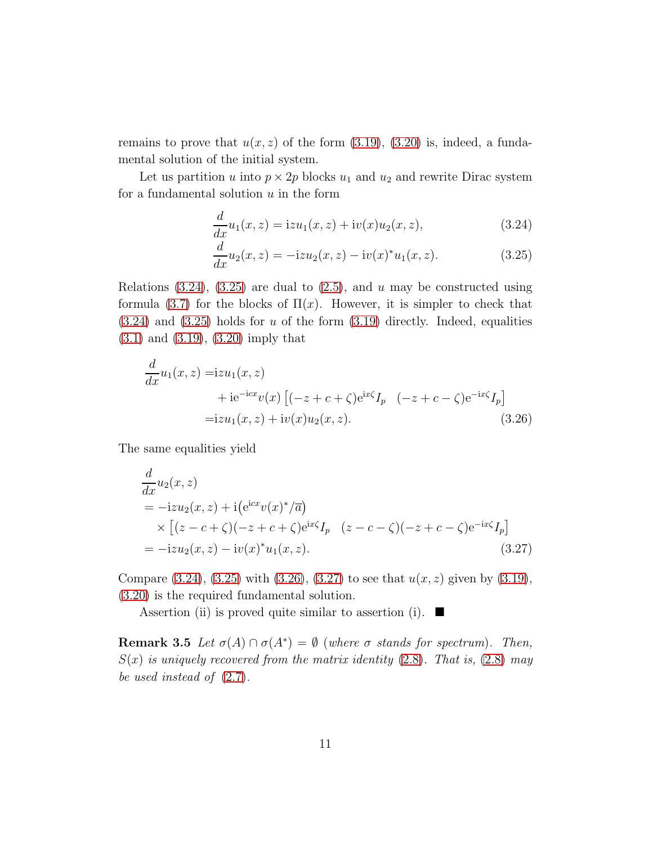remains to prove that  $u(x, z)$  of the form  $(3.19)$ ,  $(3.20)$  is, indeed, a fundamental solution of the initial system.

Let us partition u into  $p \times 2p$  blocks  $u_1$  and  $u_2$  and rewrite Dirac system for a fundamental solution  $u$  in the form

<span id="page-10-0"></span>
$$
\frac{d}{dx}u_1(x,z) = izu_1(x,z) + iv(x)u_2(x,z),
$$
\n(3.24)

<span id="page-10-2"></span><span id="page-10-1"></span>
$$
\frac{d}{dx}u_2(x,z) = -izu_2(x,z) - iv(x)^*u_1(x,z).
$$
\n(3.25)

Relations [\(3.24\)](#page-10-0), [\(3.25\)](#page-10-1) are dual to  $(2.5)$ , and u may be constructed using formula [\(3.7\)](#page-6-5) for the blocks of  $\Pi(x)$ . However, it is simpler to check that  $(3.24)$  and  $(3.25)$  holds for u of the form  $(3.19)$  directly. Indeed, equalities [\(3.1\)](#page-6-4) and [\(3.19\)](#page-9-1), [\(3.20\)](#page-9-2) imply that

$$
\frac{d}{dx}u_1(x,z) = izu_1(x,z) \n+ ie^{-icx}v(x) [(-z+c+\zeta)e^{ix\zeta}I_p \quad (-z+c-\zeta)e^{-ix\zeta}I_p] \n= izu_1(x,z) + iv(x)u_2(x,z).
$$
\n(3.26)

The same equalities yield

<span id="page-10-3"></span>
$$
\frac{d}{dx}u_2(x, z) \n= -izu_2(x, z) + i(e^{icx}v(x)^*/\overline{a}) \n\times [(z - c + \zeta)(-z + c + \zeta)e^{ix\zeta}I_p (z - c - \zeta)(-z + c - \zeta)e^{-ix\zeta}I_p] \n= -izu_2(x, z) - iv(x)^*u_1(x, z).
$$
\n(3.27)

Compare  $(3.24)$ ,  $(3.25)$  with  $(3.26)$ ,  $(3.27)$  to see that  $u(x, z)$  given by  $(3.19)$ , [\(3.20\)](#page-9-2) is the required fundamental solution.

Assertion (ii) is proved quite similar to assertion (i).  $\blacksquare$ 

<span id="page-10-4"></span>**Remark 3.5** Let  $\sigma(A) \cap \sigma(A^*) = \emptyset$  (where  $\sigma$  stands for spectrum). Then,  $S(x)$  is uniquely recovered from the matrix identity  $(2.8)$ . That is,  $(2.8)$  may be used instead of [\(2.7\)](#page-3-4).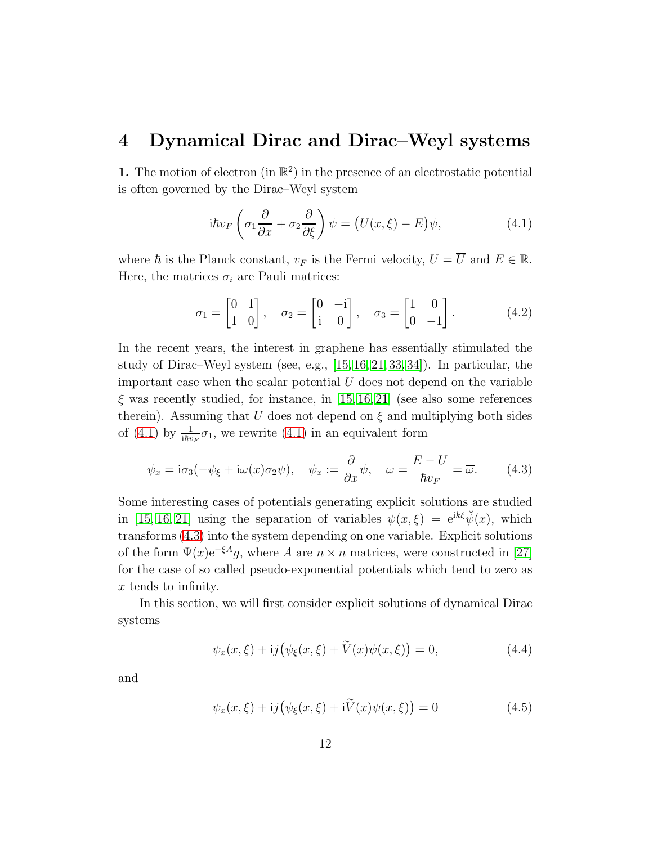### <span id="page-11-0"></span>4 Dynamical Dirac and Dirac–Weyl systems

1. The motion of electron (in  $\mathbb{R}^2$ ) in the presence of an electrostatic potential is often governed by the Dirac–Weyl system

<span id="page-11-1"></span>
$$
i\hbar v_F \left(\sigma_1 \frac{\partial}{\partial x} + \sigma_2 \frac{\partial}{\partial \xi}\right) \psi = \left(U(x,\xi) - E\right)\psi,
$$
\n(4.1)

where  $\hbar$  is the Planck constant,  $v_F$  is the Fermi velocity,  $U = \overline{U}$  and  $E \in \mathbb{R}$ . Here, the matrices  $\sigma_i$  are Pauli matrices:

$$
\sigma_1 = \begin{bmatrix} 0 & 1 \\ 1 & 0 \end{bmatrix}, \quad \sigma_2 = \begin{bmatrix} 0 & -i \\ i & 0 \end{bmatrix}, \quad \sigma_3 = \begin{bmatrix} 1 & 0 \\ 0 & -1 \end{bmatrix}.
$$
 (4.2)

In the recent years, the interest in graphene has essentially stimulated the study of Dirac–Weyl system (see, e.g., [\[15,](#page-23-0) [16,](#page-23-1) [21,](#page-24-0) [33,](#page-25-4) [34\]](#page-25-5)). In particular, the important case when the scalar potential  $U$  does not depend on the variable  $\xi$  was recently studied, for instance, in [\[15,](#page-23-0) [16,](#page-23-1) [21\]](#page-24-0) (see also some references therein). Assuming that U does not depend on  $\xi$  and multiplying both sides of [\(4.1\)](#page-11-1) by  $\frac{1}{i\hbar v_F}\sigma_1$ , we rewrite (4.1) in an equivalent form

$$
\psi_x = i\sigma_3(-\psi_{\xi} + i\omega(x)\sigma_2\psi), \quad \psi_x := \frac{\partial}{\partial x}\psi, \quad \omega = \frac{E - U}{\hbar v_F} = \overline{\omega}.
$$
 (4.3)

Some interesting cases of potentials generating explicit solutions are studied in [\[15,](#page-23-0) [16,](#page-23-1) [21\]](#page-24-0) using the separation of variables  $\psi(x,\xi) = e^{ik\xi} \check{\psi}(x)$ , which transforms [\(4.3\)](#page-11-2) into the system depending on one variable. Explicit solutions of the form  $\Psi(x)e^{-\xi A}q$ , where A are  $n \times n$  matrices, were constructed in [\[27\]](#page-24-8) for the case of so called pseudo-exponential potentials which tend to zero as x tends to infinity.

In this section, we will first consider explicit solutions of dynamical Dirac systems

<span id="page-11-4"></span><span id="page-11-2"></span>
$$
\psi_x(x,\xi) + i j \big( \psi_{\xi}(x,\xi) + \widetilde{V}(x) \psi(x,\xi) \big) = 0, \tag{4.4}
$$

and

<span id="page-11-3"></span>
$$
\psi_x(x,\xi) + i j \big( \psi_{\xi}(x,\xi) + i \widetilde{V}(x) \psi(x,\xi) \big) = 0 \tag{4.5}
$$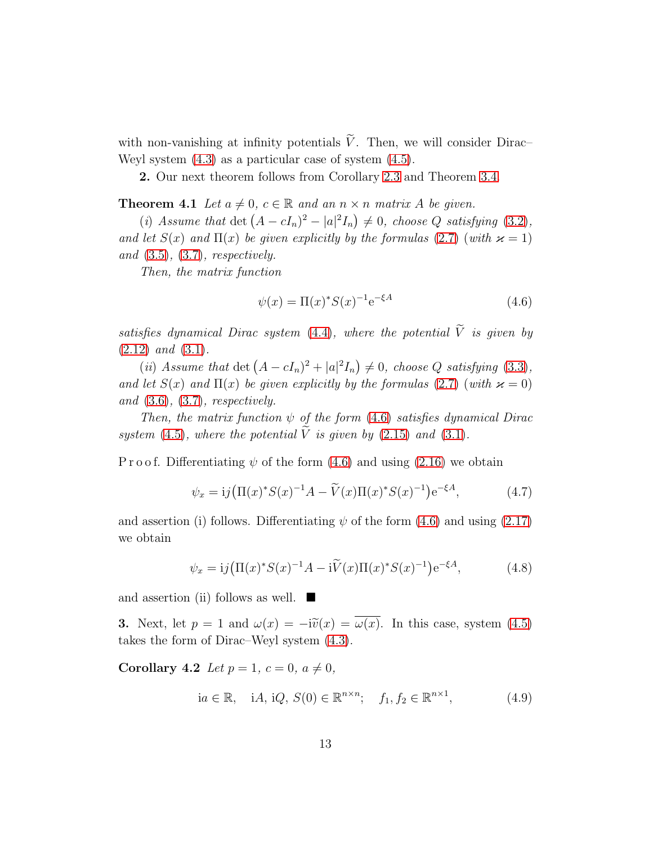with non-vanishing at infinity potentials  $\tilde{V}$ . Then, we will consider Dirac– Weyl system [\(4.3\)](#page-11-2) as a particular case of system [\(4.5\)](#page-11-3).

2. Our next theorem follows from Corollary [2.3](#page-4-9) and Theorem [3.4.](#page-8-4)

**Theorem 4.1** Let  $a \neq 0$ ,  $c \in \mathbb{R}$  and an  $n \times n$  matrix A be given.

(i) Assume that  $\det (A - cI_n)^2 - |a|^2 I_n \neq 0$ , choose Q satisfying [\(3.2\)](#page-6-6), and let  $S(x)$  and  $\Pi(x)$  be given explicitly by the formulas [\(2.7\)](#page-3-4) (with  $\varkappa = 1$ ) and [\(3.5\)](#page-6-2), [\(3.7\)](#page-6-5), respectively.

Then, the matrix function

<span id="page-12-1"></span><span id="page-12-0"></span>
$$
\psi(x) = \Pi(x)^* S(x)^{-1} e^{-\xi A} \tag{4.6}
$$

satisfies dynamical Dirac system [\(4.4\)](#page-11-4), where the potential  $\widetilde{V}$  is given by  $(2.12)$  and  $(3.1)$ .

(ii) Assume that  $\det(A - cI_n)^2 + |a|^2 I_n \neq 0$ , choose Q satisfying [\(3.3\)](#page-6-7), and let  $S(x)$  and  $\Pi(x)$  be given explicitly by the formulas [\(2.7\)](#page-3-4) (with  $\varkappa = 0$ ) and  $(3.6)$ ,  $(3.7)$ , respectively.

Then, the matrix function  $\psi$  of the form [\(4.6\)](#page-12-0) satisfies dynamical Dirac system [\(4.5\)](#page-11-3), where the potential  $\tilde{V}$  is given by [\(2.15\)](#page-4-8) and [\(3.1\)](#page-6-4).

P r o o f. Differentiating  $\psi$  of the form [\(4.6\)](#page-12-0) and using [\(2.16\)](#page-5-4) we obtain

$$
\psi_x = ij \left( \Pi(x)^* S(x)^{-1} A - \widetilde{V}(x) \Pi(x)^* S(x)^{-1} \right) e^{-\xi A}, \tag{4.7}
$$

and assertion (i) follows. Differentiating  $\psi$  of the form [\(4.6\)](#page-12-0) and using [\(2.17\)](#page-5-5) we obtain

$$
\psi_x = i j \left( \Pi(x)^* S(x)^{-1} A - i \widetilde{V}(x) \Pi(x)^* S(x)^{-1} \right) e^{-\xi A}, \tag{4.8}
$$

and assertion (ii) follows as well.  $\blacksquare$ 

3. Next, let  $p = 1$  and  $\omega(x) = -i\tilde{v}(x) = \overline{\omega(x)}$ . In this case, system [\(4.5\)](#page-11-3) takes the form of Dirac–Weyl system [\(4.3\)](#page-11-2).

Corollary 4.2 Let  $p = 1$ ,  $c = 0$ ,  $a \neq 0$ ,

<span id="page-12-3"></span><span id="page-12-2"></span>
$$
ia \in \mathbb{R}, \quad iA, iQ, S(0) \in \mathbb{R}^{n \times n}; \quad f_1, f_2 \in \mathbb{R}^{n \times 1}, \tag{4.9}
$$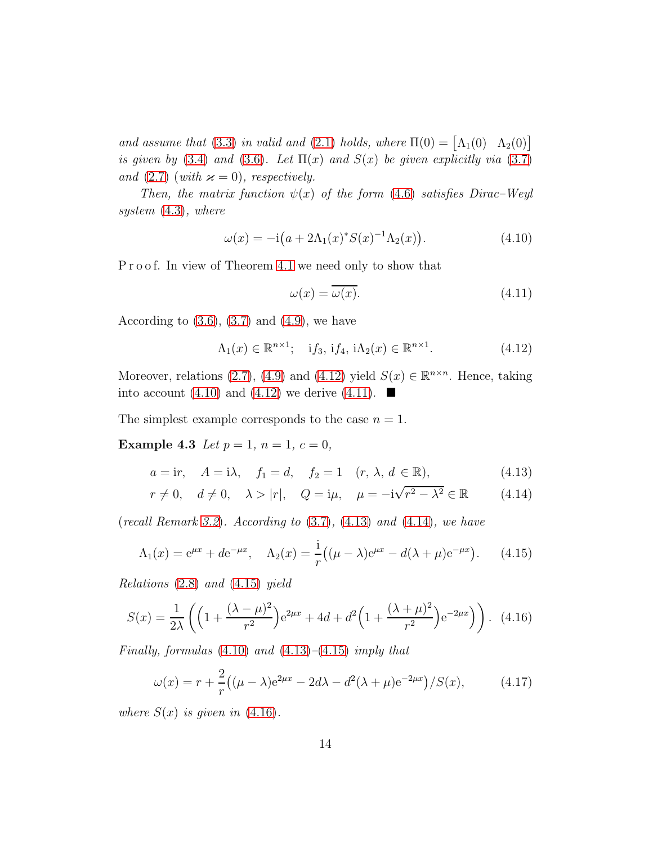and assume that [\(3.3\)](#page-6-7) in valid and [\(2.1\)](#page-3-3) holds, where  $\Pi(0) = [\Lambda_1(0) \Lambda_2(0)]$ is given by [\(3.4\)](#page-6-1) and [\(3.6\)](#page-6-3). Let  $\Pi(x)$  and  $S(x)$  be given explicitly via [\(3.7\)](#page-6-5) and [\(2.7\)](#page-3-4) (with  $\varkappa = 0$ ), respectively.

Then, the matrix function  $\psi(x)$  of the form [\(4.6\)](#page-12-0) satisfies Dirac–Weyl system [\(4.3\)](#page-11-2), where

$$
\omega(x) = -i(a + 2\Lambda_1(x)^* S(x)^{-1} \Lambda_2(x)). \tag{4.10}
$$

Proof. In view of Theorem [4.1](#page-12-1) we need only to show that

<span id="page-13-5"></span><span id="page-13-4"></span><span id="page-13-3"></span><span id="page-13-2"></span><span id="page-13-1"></span><span id="page-13-0"></span>
$$
\omega(x) = \overline{\omega(x)}.\tag{4.11}
$$

According to  $(3.6)$ ,  $(3.7)$  and  $(4.9)$ , we have

$$
\Lambda_1(x) \in \mathbb{R}^{n \times 1}; \quad \text{if}_3, \text{ if}_4, \text{ i}\Lambda_2(x) \in \mathbb{R}^{n \times 1}.\tag{4.12}
$$

Moreover, relations [\(2.7\)](#page-3-4), [\(4.9\)](#page-12-2) and [\(4.12\)](#page-13-0) yield  $S(x) \in \mathbb{R}^{n \times n}$ . Hence, taking into account [\(4.10\)](#page-13-1) and [\(4.12\)](#page-13-0) we derive [\(4.11\)](#page-13-2).  $\blacksquare$ 

The simplest example corresponds to the case  $n = 1$ .

Example 4.3 Let  $p = 1$ ,  $n = 1$ ,  $c = 0$ ,

$$
a = ir
$$
,  $A = i\lambda$ ,  $f_1 = d$ ,  $f_2 = 1$   $(r, \lambda, d \in \mathbb{R})$ ,  $(4.13)$ 

$$
r \neq 0
$$
,  $d \neq 0$ ,  $\lambda > |r|$ ,  $Q = i\mu$ ,  $\mu = -i\sqrt{r^2 - \lambda^2} \in \mathbb{R}$  (4.14)

(recall Remark [3.2](#page-7-4)). According to  $(3.7)$ ,  $(4.13)$  and  $(4.14)$ , we have

$$
\Lambda_1(x) = e^{\mu x} + de^{-\mu x}, \quad \Lambda_2(x) = \frac{i}{r} \left( (\mu - \lambda)e^{\mu x} - d(\lambda + \mu)e^{-\mu x} \right). \tag{4.15}
$$

Relations [\(2.8\)](#page-4-6) and [\(4.15\)](#page-13-5) yield

$$
S(x) = \frac{1}{2\lambda} \left( \left( 1 + \frac{(\lambda - \mu)^2}{r^2} \right) e^{2\mu x} + 4d + d^2 \left( 1 + \frac{(\lambda + \mu)^2}{r^2} \right) e^{-2\mu x} \right) \right). \tag{4.16}
$$

Finally, formulas  $(4.10)$  and  $(4.13)$ – $(4.15)$  imply that

<span id="page-13-7"></span><span id="page-13-6"></span>
$$
\omega(x) = r + \frac{2}{r} \left( (\mu - \lambda)e^{2\mu x} - 2d\lambda - d^2(\lambda + \mu)e^{-2\mu x} \right) / S(x), \tag{4.17}
$$

where  $S(x)$  is given in  $(4.16)$ .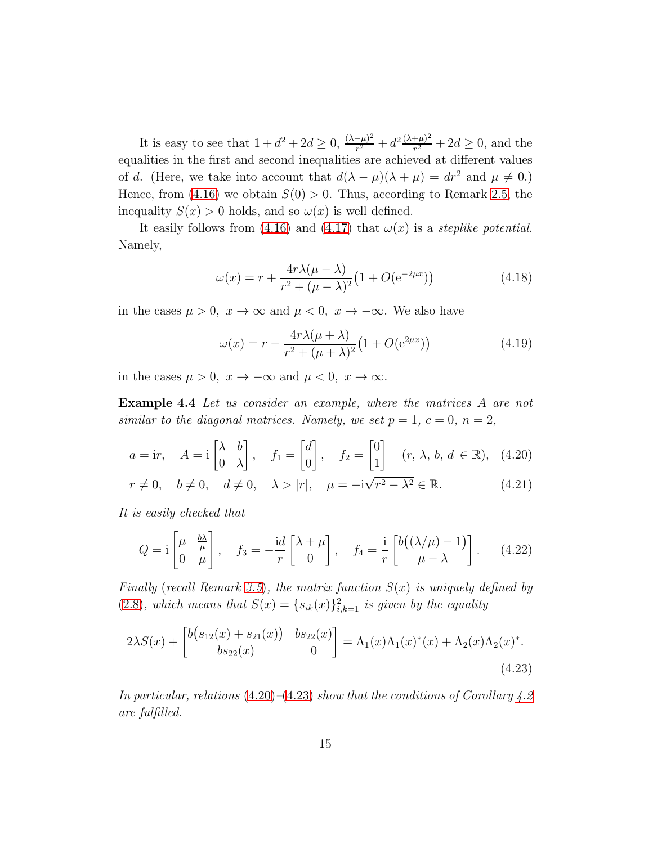It is easy to see that  $1 + d^2 + 2d \ge 0$ ,  $\frac{(\lambda - \mu)^2}{r^2}$  $\frac{(-\mu)^2}{r^2} + d^2 \frac{(\lambda+\mu)^2}{r^2}$  $\frac{(\mu)^2}{r^2} + 2d \ge 0$ , and the equalities in the first and second inequalities are achieved at different values of d. (Here, we take into account that  $d(\lambda - \mu)(\lambda + \mu) = dr^2$  and  $\mu \neq 0$ .) Hence, from [\(4.16\)](#page-13-6) we obtain  $S(0) > 0$ . Thus, according to Remark [2.5,](#page-5-3) the inequality  $S(x) > 0$  holds, and so  $\omega(x)$  is well defined.

It easily follows from [\(4.16\)](#page-13-6) and [\(4.17\)](#page-13-7) that  $\omega(x)$  is a steplike potential. Namely,

$$
\omega(x) = r + \frac{4r\lambda(\mu - \lambda)}{r^2 + (\mu - \lambda)^2} \left(1 + O(e^{-2\mu x})\right)
$$
(4.18)

in the cases  $\mu > 0$ ,  $x \to \infty$  and  $\mu < 0$ ,  $x \to -\infty$ . We also have

<span id="page-14-4"></span><span id="page-14-3"></span><span id="page-14-2"></span><span id="page-14-0"></span>
$$
\omega(x) = r - \frac{4r\lambda(\mu + \lambda)}{r^2 + (\mu + \lambda)^2} \left(1 + O(e^{2\mu x})\right)
$$
(4.19)

in the cases  $\mu > 0$ ,  $x \to -\infty$  and  $\mu < 0$ ,  $x \to \infty$ .

Example 4.4 Let us consider an example, where the matrices A are not similar to the diagonal matrices. Namely, we set  $p = 1, c = 0, n = 2$ ,

$$
a = \text{i}r
$$
,  $A = \text{i}\begin{bmatrix} \lambda & b \\ 0 & \lambda \end{bmatrix}$ ,  $f_1 = \begin{bmatrix} d \\ 0 \end{bmatrix}$ ,  $f_2 = \begin{bmatrix} 0 \\ 1 \end{bmatrix}$   $(r, \lambda, b, d \in \mathbb{R})$ , (4.20)

$$
r \neq 0, \quad b \neq 0, \quad d \neq 0, \quad \lambda > |r|, \quad \mu = -\mathrm{i}\sqrt{r^2 - \lambda^2} \in \mathbb{R}.\tag{4.21}
$$

It is easily checked that

$$
Q = \mathbf{i} \begin{bmatrix} \mu & \frac{b\lambda}{\mu} \\ 0 & \mu \end{bmatrix}, \quad f_3 = -\frac{\mathbf{i}d}{r} \begin{bmatrix} \lambda + \mu \\ 0 \end{bmatrix}, \quad f_4 = \frac{\mathbf{i}}{r} \begin{bmatrix} b\left( (\lambda/\mu) - 1 \right) \\ \mu - \lambda \end{bmatrix}. \tag{4.22}
$$

Finally (recall Remark [3.5](#page-10-4)), the matrix function  $S(x)$  is uniquely defined by [\(2.8\)](#page-4-6), which means that  $S(x) = \{s_{ik}(x)\}_{i,k=1}^2$  is given by the equality

<span id="page-14-1"></span>
$$
2\lambda S(x) + \begin{bmatrix} b(s_{12}(x) + s_{21}(x)) & bs_{22}(x) \\ bs_{22}(x) & 0 \end{bmatrix} = \Lambda_1(x)\Lambda_1(x)^*(x) + \Lambda_2(x)\Lambda_2(x)^*.
$$
\n(4.23)

In particular, relations  $(4.20)$ – $(4.23)$  show that the conditions of Corollary [4.2](#page-12-3) are fulfilled.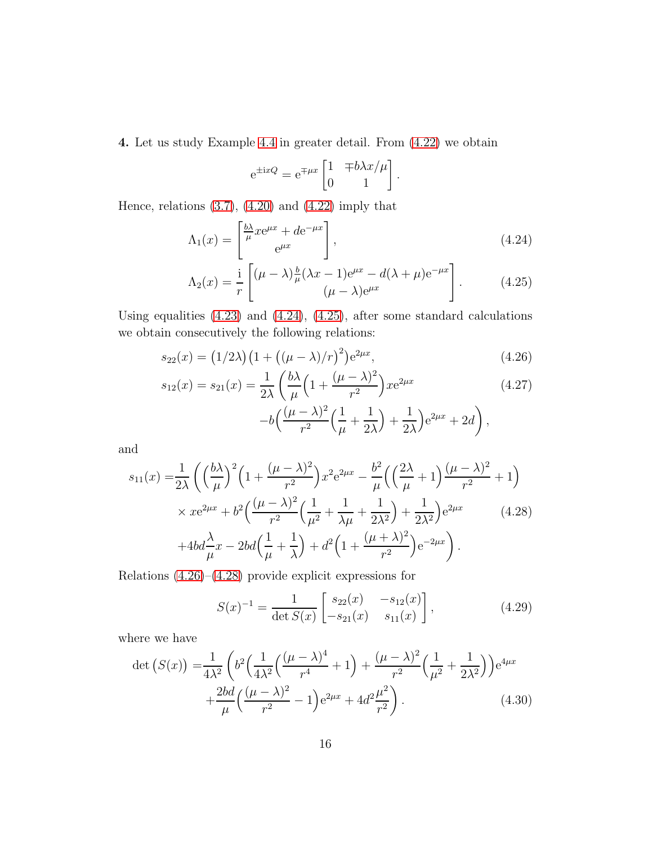4. Let us study Example [4.4](#page-14-2) in greater detail. From [\(4.22\)](#page-14-3) we obtain

<span id="page-15-2"></span><span id="page-15-1"></span><span id="page-15-0"></span>
$$
e^{\pm ixQ} = e^{\mp \mu x} \begin{bmatrix} 1 & \mp b\lambda x/\mu \\ 0 & 1 \end{bmatrix}.
$$

Hence, relations  $(3.7)$ ,  $(4.20)$  and  $(4.22)$  imply that

$$
\Lambda_1(x) = \begin{bmatrix} \frac{b\lambda}{\mu} x e^{\mu x} + d e^{-\mu x} \\ e^{\mu x} \end{bmatrix},
$$
\n(4.24)

$$
\Lambda_2(x) = \frac{i}{r} \left[ (\mu - \lambda) \frac{b}{\mu} (\lambda x - 1) e^{\mu x} - d(\lambda + \mu) e^{-\mu x} \right].
$$
\n(4.25)

Using equalities [\(4.23\)](#page-14-1) and [\(4.24\)](#page-15-0), [\(4.25\)](#page-15-1), after some standard calculations we obtain consecutively the following relations:

$$
s_{22}(x) = (1/2\lambda)(1 + ((\mu - \lambda)/r)^2)e^{2\mu x}, \qquad (4.26)
$$

$$
s_{12}(x) = s_{21}(x) = \frac{1}{2\lambda} \left( \frac{b\lambda}{\mu} \left( 1 + \frac{(\mu - \lambda)^2}{r^2} \right) x e^{2\mu x} -b \left( \frac{(\mu - \lambda)^2}{r^2} \left( \frac{1}{\mu} + \frac{1}{2\lambda} \right) + \frac{1}{2\lambda} \right) e^{2\mu x} + 2d \right),
$$
\n(4.27)

and

$$
s_{11}(x) = \frac{1}{2\lambda} \left( \left(\frac{b\lambda}{\mu}\right)^2 \left(1 + \frac{(\mu - \lambda)^2}{r^2}\right) x^2 e^{2\mu x} - \frac{b^2}{\mu} \left(\left(\frac{2\lambda}{\mu} + 1\right) \frac{(\mu - \lambda)^2}{r^2} + 1\right) \times x e^{2\mu x} + b^2 \left(\frac{(\mu - \lambda)^2}{r^2} \left(\frac{1}{\mu^2} + \frac{1}{\lambda\mu} + \frac{1}{2\lambda^2}\right) + \frac{1}{2\lambda^2}\right) e^{2\mu x} \qquad (4.28)
$$

$$
+ 4bd \frac{\lambda}{\mu} x - 2bd \left(\frac{1}{\mu} + \frac{1}{\lambda}\right) + d^2 \left(1 + \frac{(\mu + \lambda)^2}{r^2}\right) e^{-2\mu x} \right).
$$

Relations [\(4.26\)](#page-15-2)–[\(4.28\)](#page-15-3) provide explicit expressions for

<span id="page-15-4"></span><span id="page-15-3"></span>
$$
S(x)^{-1} = \frac{1}{\det S(x)} \begin{bmatrix} s_{22}(x) & -s_{12}(x) \\ -s_{21}(x) & s_{11}(x) \end{bmatrix},
$$
(4.29)

where we have

$$
\det\left(S(x)\right) = \frac{1}{4\lambda^2} \left( b^2 \left( \frac{1}{4\lambda^2} \left( \frac{(\mu - \lambda)^4}{r^4} + 1 \right) + \frac{(\mu - \lambda)^2}{r^2} \left( \frac{1}{\mu^2} + \frac{1}{2\lambda^2} \right) \right) e^{4\mu x} + \frac{2bd}{\mu} \left( \frac{(\mu - \lambda)^2}{r^2} - 1 \right) e^{2\mu x} + 4d^2 \frac{\mu^2}{r^2} \right). \tag{4.30}
$$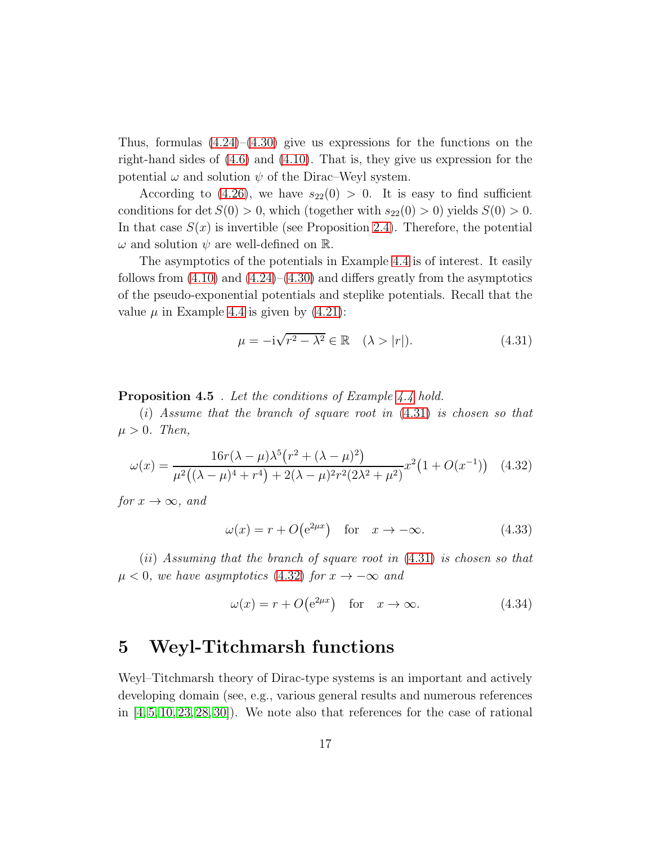Thus, formulas  $(4.24)$ – $(4.30)$  give us expressions for the functions on the right-hand sides of [\(4.6\)](#page-12-0) and [\(4.10\)](#page-13-1). That is, they give us expression for the potential  $\omega$  and solution  $\psi$  of the Dirac–Weyl system.

According to [\(4.26\)](#page-15-2), we have  $s_{22}(0) > 0$ . It is easy to find sufficient conditions for det  $S(0) > 0$ , which (together with  $s_{22}(0) > 0$ ) yields  $S(0) > 0$ . In that case  $S(x)$  is invertible (see Proposition [2.4\)](#page-5-2). Therefore, the potential  $\omega$  and solution  $\psi$  are well-defined on R.

The asymptotics of the potentials in Example [4.4](#page-14-2) is of interest. It easily follows from  $(4.10)$  and  $(4.24)$ – $(4.30)$  and differs greatly from the asymptotics of the pseudo-exponential potentials and steplike potentials. Recall that the value  $\mu$  in Example [4.4](#page-14-2) is given by [\(4.21\)](#page-14-4):

<span id="page-16-1"></span>
$$
\mu = -i\sqrt{r^2 - \lambda^2} \in \mathbb{R} \quad (\lambda > |r|). \tag{4.31}
$$

Proposition 4.5. Let the conditions of Example [4.4](#page-14-2) hold.

 $(i)$  Assume that the branch of square root in  $(4.31)$  is chosen so that  $\mu > 0$ . Then,

$$
\omega(x) = \frac{16r(\lambda - \mu)\lambda^5 (r^2 + (\lambda - \mu)^2)}{\mu^2 ((\lambda - \mu)^4 + r^4) + 2(\lambda - \mu)^2 r^2 (2\lambda^2 + \mu^2)} x^2 (1 + O(x^{-1})) \quad (4.32)
$$

for  $x \to \infty$ , and

<span id="page-16-2"></span>
$$
\omega(x) = r + O(e^{2\mu x}) \quad \text{for} \quad x \to -\infty. \tag{4.33}
$$

 $(ii)$  Assuming that the branch of square root in  $(4.31)$  is chosen so that  $\mu < 0$ , we have asymptotics [\(4.32\)](#page-16-2) for  $x \to -\infty$  and

$$
\omega(x) = r + O(e^{2\mu x}) \quad \text{for} \quad x \to \infty. \tag{4.34}
$$

### <span id="page-16-0"></span>5 Weyl-Titchmarsh functions

Weyl–Titchmarsh theory of Dirac-type systems is an important and actively developing domain (see, e.g., various general results and numerous references in  $[4, 5, 10, 23, 28, 30]$  $[4, 5, 10, 23, 28, 30]$  $[4, 5, 10, 23, 28, 30]$  $[4, 5, 10, 23, 28, 30]$  $[4, 5, 10, 23, 28, 30]$  $[4, 5, 10, 23, 28, 30]$ . We note also that references for the case of rational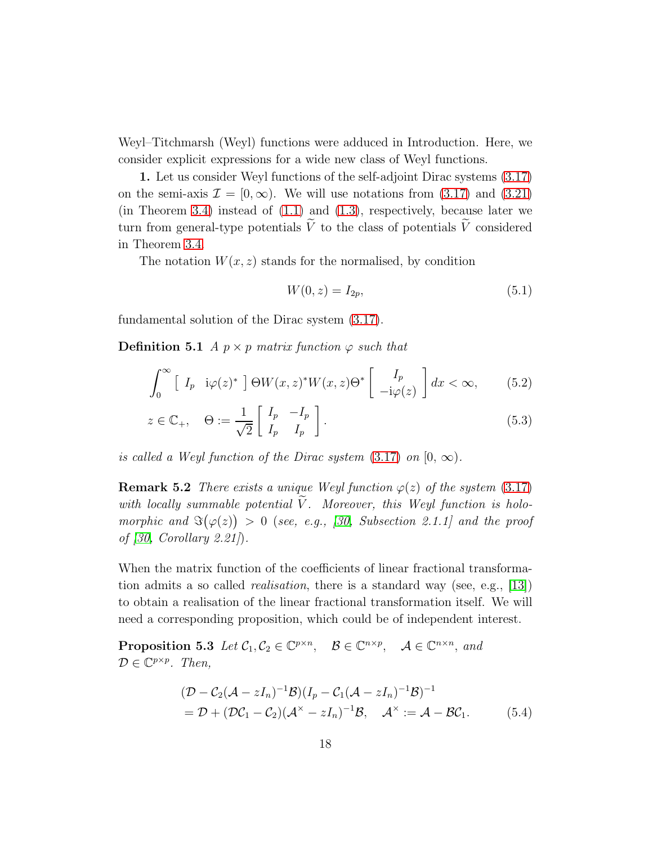Weyl–Titchmarsh (Weyl) functions were adduced in Introduction. Here, we consider explicit expressions for a wide new class of Weyl functions.

1. Let us consider Weyl functions of the self-adjoint Dirac systems [\(3.17\)](#page-9-3) on the semi-axis  $\mathcal{I} = [0, \infty)$ . We will use notations from [\(3.17\)](#page-9-3) and [\(3.21\)](#page-9-4) (in Theorem [3.4\)](#page-8-4) instead of  $(1.1)$  and  $(1.3)$ , respectively, because later we turn from general-type potentials  $\tilde{V}$  to the class of potentials  $\tilde{V}$  considered in Theorem [3.4.](#page-8-4)

The notation  $W(x, z)$  stands for the normalised, by condition

<span id="page-17-4"></span><span id="page-17-2"></span><span id="page-17-1"></span>
$$
W(0, z) = I_{2p},\tag{5.1}
$$

fundamental solution of the Dirac system [\(3.17\)](#page-9-3).

**Definition 5.1** A  $p \times p$  matrix function  $\varphi$  such that

$$
\int_0^\infty \left[ I_p \quad i\varphi(z)^* \right] \Theta W(x, z)^* W(x, z) \Theta^* \left[ \begin{array}{c} I_p \\ -i\varphi(z) \end{array} \right] dx < \infty,\tag{5.2}
$$

$$
z \in \mathbb{C}_+, \quad \Theta := \frac{1}{\sqrt{2}} \begin{bmatrix} I_p & -I_p \\ I_p & I_p \end{bmatrix}.
$$
 (5.3)

is called a Weyl function of the Dirac system  $(3.17)$  on  $[0, \infty)$ .

**Remark 5.2** There exists a unique Weyl function  $\varphi(z)$  of the system [\(3.17\)](#page-9-3) with locally summable potential  $\tilde{V}$ . Moreover, this Weyl function is holomorphic and  $\Im(\varphi(z)) > 0$  (see, e.g., [\[30,](#page-25-0) Subsection 2.1.1] and the proof of [\[30,](#page-25-0) Corollary 2.21].

When the matrix function of the coefficients of linear fractional transformation admits a so called realisation, there is a standard way (see, e.g., [\[13\]](#page-23-4)) to obtain a realisation of the linear fractional transformation itself. We will need a corresponding proposition, which could be of independent interest.

**Proposition 5.3** Let  $C_1, C_2 \in \mathbb{C}^{p \times n}$ ,  $\mathcal{B} \in \mathbb{C}^{n \times p}$ ,  $\mathcal{A} \in \mathbb{C}^{n \times n}$ , and  $\mathcal{D} \in \mathbb{C}^{p \times p}$ . Then,

<span id="page-17-3"></span><span id="page-17-0"></span>
$$
\begin{aligned} & (\mathcal{D} - \mathcal{C}_2(\mathcal{A} - zI_n)^{-1}\mathcal{B})(I_p - \mathcal{C}_1(\mathcal{A} - zI_n)^{-1}\mathcal{B})^{-1} \\ &= \mathcal{D} + (\mathcal{D}\mathcal{C}_1 - \mathcal{C}_2)(\mathcal{A}^{\times} - zI_n)^{-1}\mathcal{B}, \quad \mathcal{A}^{\times} := \mathcal{A} - \mathcal{B}\mathcal{C}_1. \end{aligned} \tag{5.4}
$$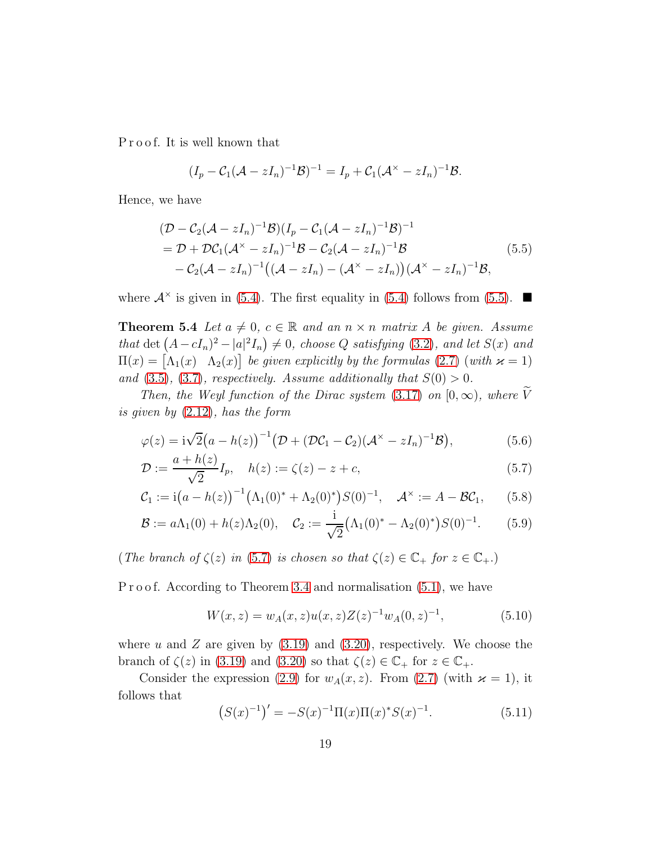P r o o f. It is well known that

<span id="page-18-0"></span>
$$
(I_p-\mathcal{C}_1(\mathcal{A}-zI_n)^{-1}\mathcal{B})^{-1}=I_p+\mathcal{C}_1(\mathcal{A}^{\times}-zI_n)^{-1}\mathcal{B}.
$$

Hence, we have

$$
\begin{split} & (\mathcal{D} - \mathcal{C}_2(\mathcal{A} - zI_n)^{-1}\mathcal{B})(I_p - \mathcal{C}_1(\mathcal{A} - zI_n)^{-1}\mathcal{B})^{-1} \\ &= \mathcal{D} + \mathcal{D}\mathcal{C}_1(\mathcal{A}^{\times} - zI_n)^{-1}\mathcal{B} - \mathcal{C}_2(\mathcal{A} - zI_n)^{-1}\mathcal{B} \\ &- \mathcal{C}_2(\mathcal{A} - zI_n)^{-1}((\mathcal{A} - zI_n) - (\mathcal{A}^{\times} - zI_n))(\mathcal{A}^{\times} - zI_n)^{-1}\mathcal{B}, \end{split} \tag{5.5}
$$

<span id="page-18-5"></span>where  $\mathcal{A}^{\times}$  is given in [\(5.4\)](#page-17-0). The first equality in (5.4) follows from [\(5.5\)](#page-18-0).

**Theorem 5.4** Let  $a \neq 0$ ,  $c \in \mathbb{R}$  and an  $n \times n$  matrix A be given. Assume that det  $(A - cI_n)^2 - |a|^2I_n \neq 0$ , choose Q satisfying [\(3.2\)](#page-6-6), and let  $S(x)$  and  $\Pi(x) = \begin{bmatrix} \Lambda_1(x) & \Lambda_2(x) \end{bmatrix}$  be given explicitly by the formulas [\(2.7\)](#page-3-4) (with  $\varkappa = 1$ ) and  $(3.5)$ ,  $(3.7)$ , respectively. Assume additionally that  $S(0) > 0$ .

Then, the Weyl function of the Dirac system [\(3.17\)](#page-9-3) on  $[0, \infty)$ , where V is given by [\(2.12\)](#page-4-7), has the form

$$
\varphi(z) = i\sqrt{2}(a - h(z))^{-1} \big(\mathcal{D} + (\mathcal{D}\mathcal{C}_1 - \mathcal{C}_2)(\mathcal{A}^{\times} - zI_n)^{-1}\mathcal{B}\big),\tag{5.6}
$$

$$
\mathcal{D} := \frac{a + h(z)}{\sqrt{2}} I_p, \quad h(z) := \zeta(z) - z + c,\tag{5.7}
$$

$$
C_1 := \mathrm{i} (a - h(z))^{-1} \big( \Lambda_1(0)^* + \Lambda_2(0)^* \big) S(0)^{-1}, \quad \mathcal{A}^\times := A - \mathcal{B} \mathcal{C}_1,\qquad(5.8)
$$

$$
\mathcal{B} := a\Lambda_1(0) + h(z)\Lambda_2(0), \quad \mathcal{C}_2 := \frac{i}{\sqrt{2}} \big(\Lambda_1(0)^* - \Lambda_2(0)^*\big) S(0)^{-1}.
$$
 (5.9)

(The branch of  $\zeta(z)$  in [\(5.7\)](#page-18-1) is chosen so that  $\zeta(z) \in \mathbb{C}_+$  for  $z \in \mathbb{C}_+$ .)

P r o o f. According to Theorem [3.4](#page-8-4) and normalisation  $(5.1)$ , we have

<span id="page-18-4"></span><span id="page-18-3"></span><span id="page-18-2"></span><span id="page-18-1"></span>
$$
W(x, z) = w_A(x, z)u(x, z)Z(z)^{-1}w_A(0, z)^{-1},
$$
\n(5.10)

where u and Z are given by  $(3.19)$  and  $(3.20)$ , respectively. We choose the branch of  $\zeta(z)$  in [\(3.19\)](#page-9-1) and [\(3.20\)](#page-9-2) so that  $\zeta(z) \in \mathbb{C}_+$  for  $z \in \mathbb{C}_+$ .

Consider the expression [\(2.9\)](#page-4-0) for  $w_A(x, z)$ . From [\(2.7\)](#page-3-4) (with  $\varkappa = 1$ ), it follows that

$$
(S(x)^{-1})' = -S(x)^{-1}\Pi(x)\Pi(x)^*S(x)^{-1}.
$$
\n(5.11)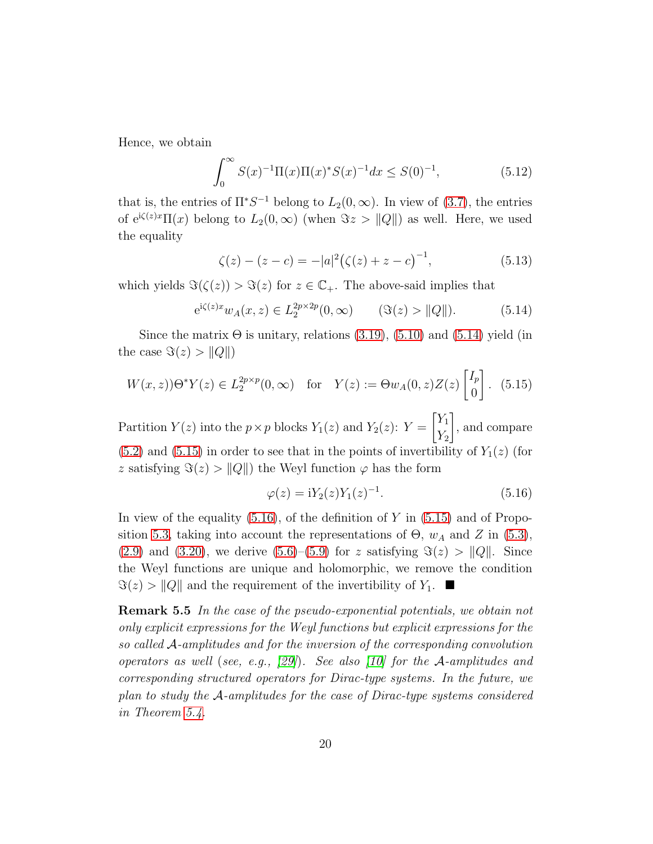Hence, we obtain

$$
\int_0^\infty S(x)^{-1} \Pi(x) \Pi(x)^* S(x)^{-1} dx \le S(0)^{-1},\tag{5.12}
$$

that is, the entries of  $\Pi^*S^{-1}$  belong to  $L_2(0,\infty)$ . In view of [\(3.7\)](#page-6-5), the entries of  $e^{i\zeta(z)x}\Pi(x)$  belong to  $L_2(0,\infty)$  (when  $\Im z > ||Q||$ ) as well. Here, we used the equality

<span id="page-19-3"></span><span id="page-19-0"></span>
$$
\zeta(z) - (z - c) = -|a|^2 (\zeta(z) + z - c)^{-1},\tag{5.13}
$$

which yields  $\Im(\zeta(z)) > \Im(z)$  for  $z \in \mathbb{C}_+$ . The above-said implies that

$$
e^{i\zeta(z)x}w_A(x,z) \in L_2^{2p \times 2p}(0,\infty)
$$
 ( $\Im(z) > ||Q||$ ). (5.14)

Since the matrix  $\Theta$  is unitary, relations [\(3.19\)](#page-9-1), [\(5.10\)](#page-18-2) and [\(5.14\)](#page-19-0) yield (in the case  $\Im(z) > ||Q||$ 

$$
W(x, z)
$$
 $\Theta^* Y(z) \in L_2^{2p \times p}(0, \infty)$  for  $Y(z) := \Theta w_A(0, z) Z(z) \begin{bmatrix} I_p \\ 0 \end{bmatrix}$ . (5.15)

Partition  $Y(z)$  into the  $p \times p$  blocks  $Y_1(z)$  and  $Y_2(z)$ :  $Y =$  $\lceil Y_1 \rceil$  $Y_2$ 1 , and compare  $(5.2)$  and  $(5.15)$  in order to see that in the points of invertibility of  $Y_1(z)$  (for z satisfying  $\Im(z) > ||Q||$  the Weyl function  $\varphi$  has the form

<span id="page-19-2"></span><span id="page-19-1"></span>
$$
\varphi(z) = iY_2(z)Y_1(z)^{-1}.\tag{5.16}
$$

In view of the equality  $(5.16)$ , of the definition of Y in  $(5.15)$  and of Propo-sition [5.3,](#page-17-3) taking into account the representations of  $\Theta$ ,  $w_A$  and Z in [\(5.3\)](#page-17-4), [\(2.9\)](#page-4-0) and [\(3.20\)](#page-9-2), we derive [\(5.6\)](#page-18-3)–[\(5.9\)](#page-18-4) for z satisfying  $\Im(z) > ||Q||$ . Since the Weyl functions are unique and holomorphic, we remove the condition  $\Im(z) > ||Q||$  and the requirement of the invertibility of  $Y_1$ .

Remark 5.5 In the case of the pseudo-exponential potentials, we obtain not only explicit expressions for the Weyl functions but explicit expressions for the so called A-amplitudes and for the inversion of the corresponding convolution operators as well (see, e.g.,  $[29]$ ). See also [\[10\]](#page-23-10) for the A-amplitudes and corresponding structured operators for Dirac-type systems. In the future, we plan to study the A-amplitudes for the case of Dirac-type systems considered in Theorem [5.4.](#page-18-5)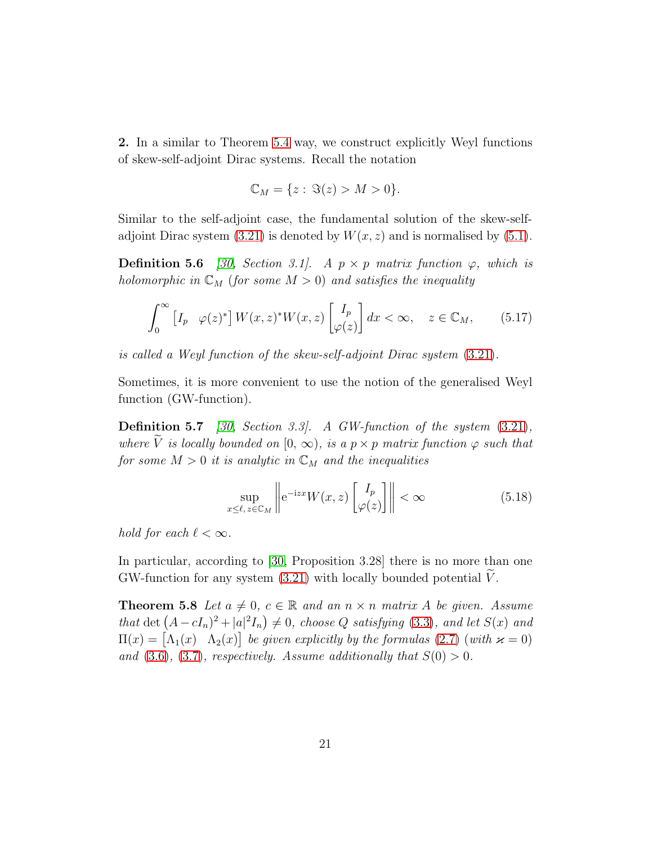2. In a similar to Theorem [5.4](#page-18-5) way, we construct explicitly Weyl functions of skew-self-adjoint Dirac systems. Recall the notation

$$
\mathbb{C}_M = \{z: \Im(z) > M > 0\}.
$$

Similar to the self-adjoint case, the fundamental solution of the skew-selfadjoint Dirac system  $(3.21)$  is denoted by  $W(x, z)$  and is normalised by  $(5.1)$ .

**Definition 5.6** [\[30,](#page-25-0) Section 3.1]. A  $p \times p$  matrix function  $\varphi$ , which is holomorphic in  $\mathbb{C}_M$  (for some  $M > 0$ ) and satisfies the inequality

$$
\int_0^\infty \left[I_p \varphi(z)^* \right] W(x, z)^* W(x, z) \left[\begin{matrix} I_p \\ \varphi(z) \end{matrix} \right] dx < \infty, \quad z \in \mathbb{C}_M,\qquad(5.17)
$$

is called a Weyl function of the skew-self-adjoint Dirac system [\(3.21\)](#page-9-4).

Sometimes, it is more convenient to use the notion of the generalised Weyl function (GW-function).

**Definition 5.7** [\[30,](#page-25-0) Section 3.3]. A GW-function of the system  $(3.21)$ , where V is locally bounded on  $[0, \infty)$ , is a  $p \times p$  matrix function  $\varphi$  such that for some  $M > 0$  it is analytic in  $\mathbb{C}_M$  and the inequalities

$$
\sup_{x \le \ell, z \in \mathbb{C}_M} \left\| e^{-izx} W(x, z) \begin{bmatrix} I_p \\ \varphi(z) \end{bmatrix} \right\| < \infty \tag{5.18}
$$

hold for each  $\ell < \infty$ .

In particular, according to [\[30,](#page-25-0) Proposition 3.28] there is no more than one GW-function for any system  $(3.21)$  with locally bounded potential V.

**Theorem 5.8** Let  $a \neq 0$ ,  $c \in \mathbb{R}$  and an  $n \times n$  matrix A be given. Assume that det  $(A - cI_n)^2 + |a|^2I_n \neq 0$ , choose Q satisfying [\(3.3\)](#page-6-7), and let  $S(x)$  and  $\Pi(x) = \begin{bmatrix} \Lambda_1(x) & \Lambda_2(x) \end{bmatrix}$  be given explicitly by the formulas [\(2.7\)](#page-3-4) (with  $\varkappa = 0$ ) and  $(3.6)$ ,  $(3.7)$ , respectively. Assume additionally that  $S(0) > 0$ .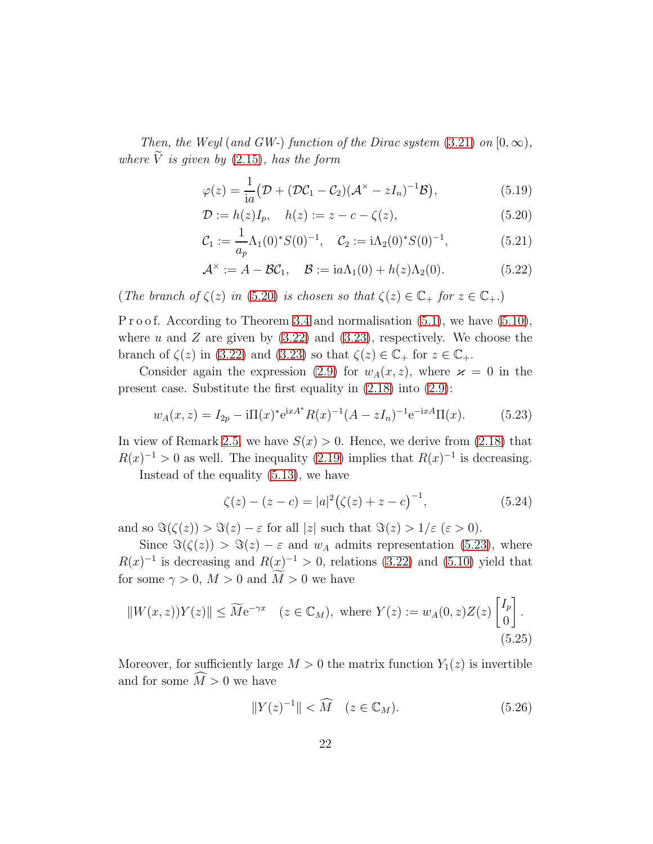Then, the Weyl (and GW-) function of the Dirac system [\(3.21\)](#page-9-4) on  $[0, \infty)$ , where  $\tilde{V}$  is given by [\(2.15\)](#page-4-8), has the form

<span id="page-21-0"></span>
$$
\varphi(z) = \frac{1}{ia} \big( \mathcal{D} + (\mathcal{D}\mathcal{C}_1 - \mathcal{C}_2)(\mathcal{A}^{\times} - zI_n)^{-1} \mathcal{B} \big), \tag{5.19}
$$

$$
\mathcal{D} := h(z)I_p, \quad h(z) := z - c - \zeta(z), \tag{5.20}
$$

$$
\mathcal{C}_1 := \frac{1}{a_p} \Lambda_1(0)^* S(0)^{-1}, \quad \mathcal{C}_2 := i \Lambda_2(0)^* S(0)^{-1}, \tag{5.21}
$$

$$
\mathcal{A}^{\times} := A - \mathcal{B}\mathcal{C}_1, \quad \mathcal{B} := ia\Lambda_1(0) + h(z)\Lambda_2(0). \tag{5.22}
$$

(The branch of  $\zeta(z)$  in [\(5.20\)](#page-21-0) is chosen so that  $\zeta(z) \in \mathbb{C}_+$  for  $z \in \mathbb{C}_+$ .)

P r o o f. According to Theorem [3.4](#page-8-4) and normalisation  $(5.1)$ , we have  $(5.10)$ , where u and Z are given by  $(3.22)$  and  $(3.23)$ , respectively. We choose the branch of  $\zeta(z)$  in [\(3.22\)](#page-9-5) and [\(3.23\)](#page-9-6) so that  $\zeta(z) \in \mathbb{C}_+$  for  $z \in \mathbb{C}_+$ .

Consider again the expression [\(2.9\)](#page-4-0) for  $w_A(x, z)$ , where  $\varkappa = 0$  in the present case. Substitute the first equality in [\(2.18\)](#page-5-0) into [\(2.9\)](#page-4-0):

<span id="page-21-1"></span>
$$
w_A(x, z) = I_{2p} - i\Pi(x)^* e^{ixA^*} R(x)^{-1} (A - zI_n)^{-1} e^{-ixA} \Pi(x).
$$
 (5.23)

In view of Remark [2.5,](#page-5-3) we have  $S(x) > 0$ . Hence, we derive from [\(2.18\)](#page-5-0) that  $R(x)^{-1} > 0$  as well. The inequality [\(2.19\)](#page-5-1) implies that  $R(x)^{-1}$  is decreasing.

Instead of the equality [\(5.13\)](#page-19-3), we have

$$
\zeta(z) - (z - c) = |a|^2 (\zeta(z) + z - c)^{-1},\tag{5.24}
$$

and so  $\Im(\zeta(z)) > \Im(z) - \varepsilon$  for all  $|z|$  such that  $\Im(z) > 1/\varepsilon$  ( $\varepsilon > 0$ ).

Since  $\Im(\zeta(z)) > \Im(z) - \varepsilon$  and  $w_A$  admits representation [\(5.23\)](#page-21-1), where  $R(x)^{-1}$  is decreasing and  $R(x)^{-1} > 0$ , relations [\(3.22\)](#page-9-5) and [\(5.10\)](#page-18-2) yield that for some  $\gamma > 0$ ,  $M > 0$  and  $\widetilde{M} > 0$  we have

$$
||W(x,z))Y(z)|| \le \widetilde{M}e^{-\gamma x} \quad (z \in \mathbb{C}_M), \text{ where } Y(z) := w_A(0,z)Z(z) \begin{bmatrix} I_p \\ 0 \end{bmatrix}.
$$
\n
$$
(5.25)
$$

Moreover, for sufficiently large  $M > 0$  the matrix function  $Y_1(z)$  is invertible and for some  $\widehat{M} > 0$  we have

<span id="page-21-3"></span><span id="page-21-2"></span>
$$
||Y(z)^{-1}|| < \widehat{M} \quad (z \in \mathbb{C}_M). \tag{5.26}
$$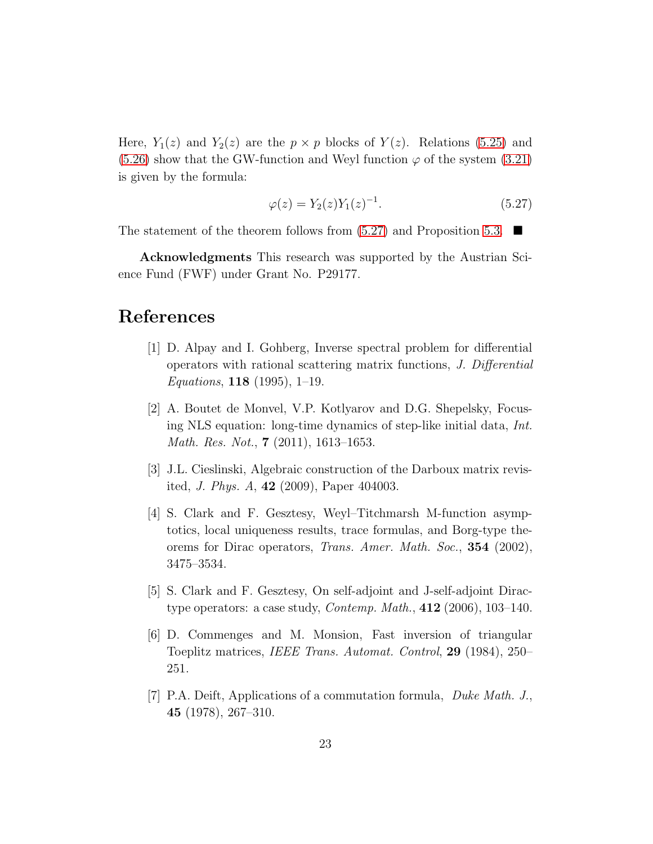Here,  $Y_1(z)$  and  $Y_2(z)$  are the  $p \times p$  blocks of  $Y(z)$ . Relations [\(5.25\)](#page-21-2) and  $(5.26)$  show that the GW-function and Weyl function  $\varphi$  of the system  $(3.21)$ is given by the formula:

<span id="page-22-7"></span>
$$
\varphi(z) = Y_2(z) Y_1(z)^{-1}.
$$
\n(5.27)

The statement of the theorem follows from  $(5.27)$  and Proposition [5.3.](#page-17-3)

Acknowledgments This research was supported by the Austrian Science Fund (FWF) under Grant No. P29177.

### <span id="page-22-0"></span>References

- [1] D. Alpay and I. Gohberg, Inverse spectral problem for differential operators with rational scattering matrix functions, J. Differential Equations,  $118$  (1995), 1-19.
- <span id="page-22-1"></span>[2] A. Boutet de Monvel, V.P. Kotlyarov and D.G. Shepelsky, Focusing NLS equation: long-time dynamics of step-like initial data, Int. Math. Res. Not., **7** (2011), 1613–1653.
- <span id="page-22-5"></span><span id="page-22-2"></span>[3] J.L. Cieslinski, Algebraic construction of the Darboux matrix revisited, J. Phys. A, 42 (2009), Paper 404003.
- [4] S. Clark and F. Gesztesy, Weyl–Titchmarsh M-function asymptotics, local uniqueness results, trace formulas, and Borg-type theorems for Dirac operators, Trans. Amer. Math. Soc., 354 (2002), 3475–3534.
- <span id="page-22-6"></span><span id="page-22-4"></span>[5] S. Clark and F. Gesztesy, On self-adjoint and J-self-adjoint Diractype operators: a case study, Contemp. Math., 412 (2006), 103–140.
- [6] D. Commenges and M. Monsion, Fast inversion of triangular Toeplitz matrices, IEEE Trans. Automat. Control, 29 (1984), 250– 251.
- <span id="page-22-3"></span>[7] P.A. Deift, Applications of a commutation formula, Duke Math. J., 45 (1978), 267–310.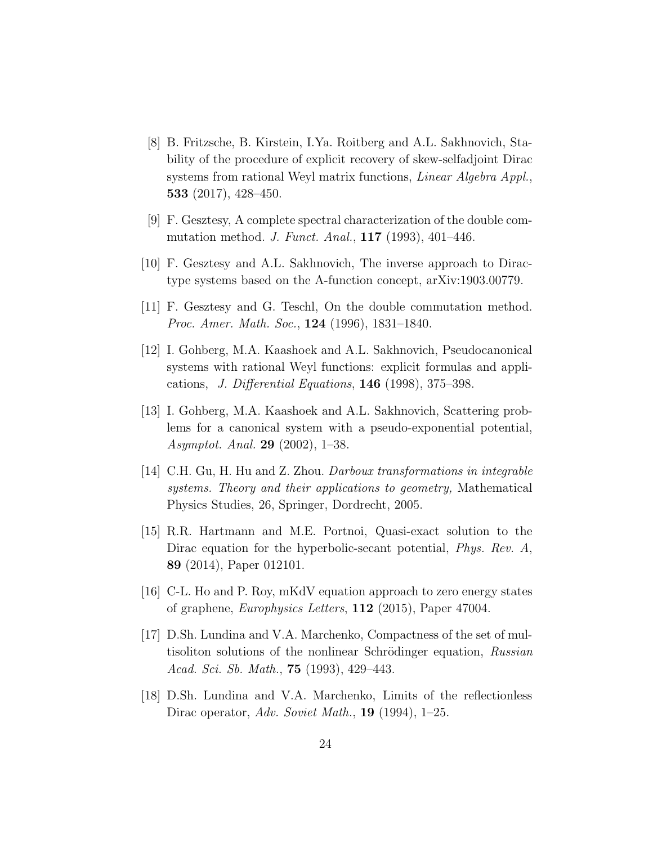- <span id="page-23-2"></span>[8] B. Fritzsche, B. Kirstein, I.Ya. Roitberg and A.L. Sakhnovich, Stability of the procedure of explicit recovery of skew-selfadjoint Dirac systems from rational Weyl matrix functions, Linear Algebra Appl., 533 (2017), 428–450.
- <span id="page-23-8"></span>[9] F. Gesztesy, A complete spectral characterization of the double commutation method. J. Funct. Anal., 117 (1993), 401–446.
- <span id="page-23-10"></span><span id="page-23-9"></span>[10] F. Gesztesy and A.L. Sakhnovich, The inverse approach to Diractype systems based on the A-function concept, arXiv:1903.00779.
- <span id="page-23-3"></span>[11] F. Gesztesy and G. Teschl, On the double commutation method. Proc. Amer. Math. Soc., 124 (1996), 1831–1840.
- [12] I. Gohberg, M.A. Kaashoek and A.L. Sakhnovich, Pseudocanonical systems with rational Weyl functions: explicit formulas and applications, J. Differential Equations,  $146$  (1998), 375–398.
- <span id="page-23-4"></span>[13] I. Gohberg, M.A. Kaashoek and A.L. Sakhnovich, Scattering problems for a canonical system with a pseudo-exponential potential, Asymptot. Anal. 29 (2002), 1–38.
- <span id="page-23-7"></span>[14] C.H. Gu, H. Hu and Z. Zhou. Darboux transformations in integrable systems. Theory and their applications to geometry, Mathematical Physics Studies, 26, Springer, Dordrecht, 2005.
- <span id="page-23-0"></span>[15] R.R. Hartmann and M.E. Portnoi, Quasi-exact solution to the Dirac equation for the hyperbolic-secant potential, *Phys. Rev. A*, 89 (2014), Paper 012101.
- <span id="page-23-5"></span><span id="page-23-1"></span>[16] C-L. Ho and P. Roy, mKdV equation approach to zero energy states of graphene, Europhysics Letters, 112 (2015), Paper 47004.
- [17] D.Sh. Lundina and V.A. Marchenko, Compactness of the set of multisoliton solutions of the nonlinear Schrödinger equation, Russian Acad. Sci. Sb. Math., 75 (1993), 429–443.
- <span id="page-23-6"></span>[18] D.Sh. Lundina and V.A. Marchenko, Limits of the reflectionless Dirac operator, Adv. Soviet Math., 19 (1994), 1–25.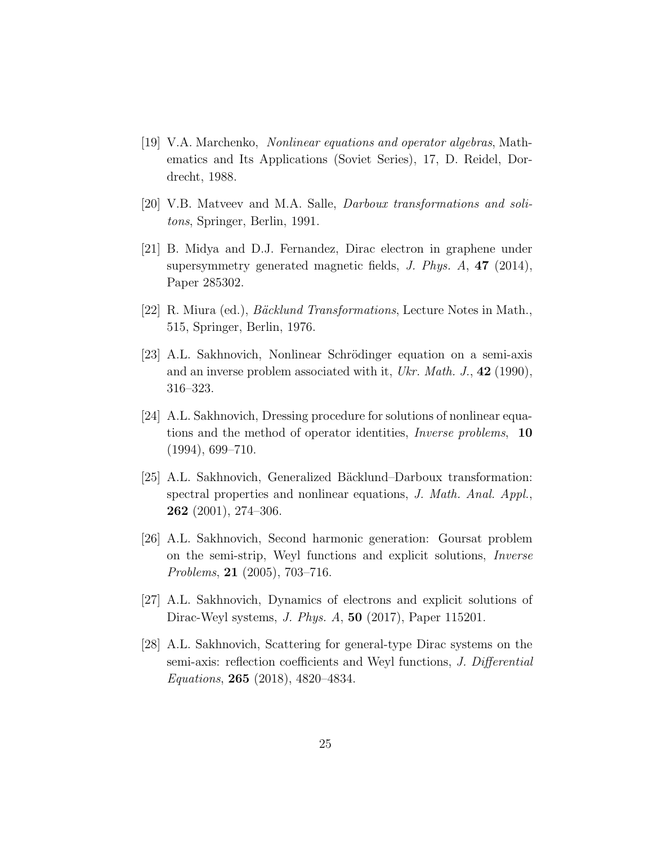- <span id="page-24-4"></span>[19] V.A. Marchenko, Nonlinear equations and operator algebras, Mathematics and Its Applications (Soviet Series), 17, D. Reidel, Dordrecht, 1988.
- <span id="page-24-5"></span><span id="page-24-0"></span>[20] V.B. Matveev and M.A. Salle, Darboux transformations and solitons, Springer, Berlin, 1991.
- [21] B. Midya and D.J. Fernandez, Dirac electron in graphene under supersymmetry generated magnetic fields, J. Phys. A, 47 (2014), Paper 285302.
- <span id="page-24-9"></span><span id="page-24-6"></span>[22] R. Miura (ed.), *Bäcklund Transformations*, Lecture Notes in Math., 515, Springer, Berlin, 1976.
- [23] A.L. Sakhnovich, Nonlinear Schrödinger equation on a semi-axis and an inverse problem associated with it, Ukr. Math. J.,  $42$  (1990), 316–323.
- <span id="page-24-1"></span>[24] A.L. Sakhnovich, Dressing procedure for solutions of nonlinear equations and the method of operator identities, Inverse problems, 10  $(1994), 699 - 710.$
- <span id="page-24-7"></span>[25] A.L. Sakhnovich, Generalized Bäcklund–Darboux transformation: spectral properties and nonlinear equations, J. Math. Anal. Appl., 262 (2001), 274–306.
- <span id="page-24-3"></span>[26] A.L. Sakhnovich, Second harmonic generation: Goursat problem on the semi-strip, Weyl functions and explicit solutions, Inverse Problems, 21 (2005), 703–716.
- <span id="page-24-8"></span><span id="page-24-2"></span>[27] A.L. Sakhnovich, Dynamics of electrons and explicit solutions of Dirac-Weyl systems, J. Phys. A, 50 (2017), Paper 115201.
- [28] A.L. Sakhnovich, Scattering for general-type Dirac systems on the semi-axis: reflection coefficients and Weyl functions, *J. Differential* Equations, 265 (2018), 4820–4834.